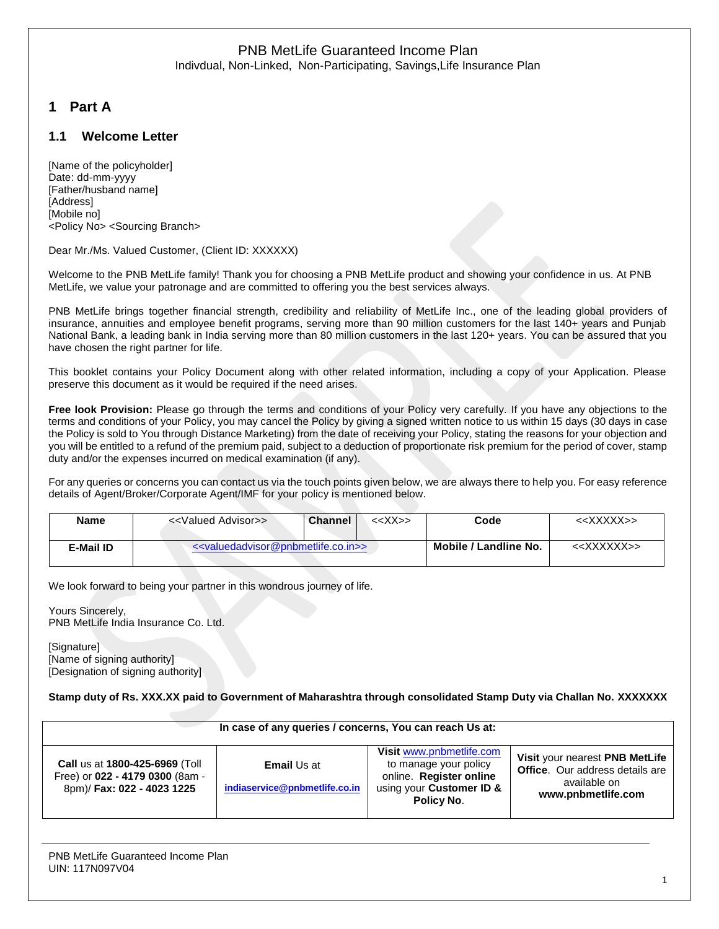Indivdual, Non-Linked, Non-Participating, Savings,Life Insurance Plan

# **1 Part A**

### **1.1 Welcome Letter**

[Name of the policyholder] Date: dd-mm-yyyy [Father/husband name] [Address] [Mobile no] <Policy No> <Sourcing Branch>

Dear Mr./Ms. Valued Customer, (Client ID: XXXXXX)

Welcome to the PNB MetLife family! Thank you for choosing a PNB MetLife product and showing your confidence in us. At PNB MetLife, we value your patronage and are committed to offering you the best services always.

PNB MetLife brings together financial strength, credibility and reliability of MetLife Inc., one of the leading global providers of insurance, annuities and employee benefit programs, serving more than 90 million customers for the last 140+ years and Punjab National Bank, a leading bank in India serving more than 80 million customers in the last 120+ years. You can be assured that you have chosen the right partner for life.

This booklet contains your Policy Document along with other related information, including a copy of your Application. Please preserve this document as it would be required if the need arises.

**Free look Provision:** Please go through the terms and conditions of your Policy very carefully. If you have any objections to the terms and conditions of your Policy, you may cancel the Policy by giving a signed written notice to us within 15 days (30 days in case the Policy is sold to You through Distance Marketing) from the date of receiving your Policy, stating the reasons for your objection and you will be entitled to a refund of the premium paid, subject to a deduction of proportionate risk premium for the period of cover, stamp duty and/or the expenses incurred on medical examination (if any).

For any queries or concerns you can contact us via the touch points given below, we are always there to help you. For easy reference details of Agent/Broker/Corporate Agent/IMF for your policy is mentioned below.

| Name      | < <valued advisor="">&gt;</valued>                                      | $<<$ $X$ $>>$<br>Channel | Code                  | < <xxxxx>&gt;</xxxxx>   |
|-----------|-------------------------------------------------------------------------|--------------------------|-----------------------|-------------------------|
| E-Mail ID | < <valuedadvisor@pnbmetlife.co.in>&gt;</valuedadvisor@pnbmetlife.co.in> |                          | Mobile / Landline No. | < <xxxxxx>&gt;</xxxxxx> |

We look forward to being your partner in this wondrous journey of life.

Yours Sincerely, PNB MetLife India Insurance Co. Ltd.

[Signature] [Name of signing authority] [Designation of signing authority]

**Stamp duty of Rs. XXX.XX paid to Government of Maharashtra through consolidated Stamp Duty via Challan No. XXXXXXX**

| In case of any queries / concerns, You can reach Us at:                                         |                                                     |                                                                                                                        |                                                                                                                |  |  |
|-------------------------------------------------------------------------------------------------|-----------------------------------------------------|------------------------------------------------------------------------------------------------------------------------|----------------------------------------------------------------------------------------------------------------|--|--|
| Call us at 1800-425-6969 (Toll<br>Free) or 022 - 4179 0300 (8am -<br>8pm)/ Fax: 022 - 4023 1225 | <b>Email Us at</b><br>indiaservice@pnbmetlife.co.in | Visit www.pnbmetlife.com<br>to manage your policy<br>online. Register online<br>using your Customer ID &<br>Policy No. | Visit your nearest PNB MetLife<br><b>Office.</b> Our address details are<br>available on<br>www.pnbmetlife.com |  |  |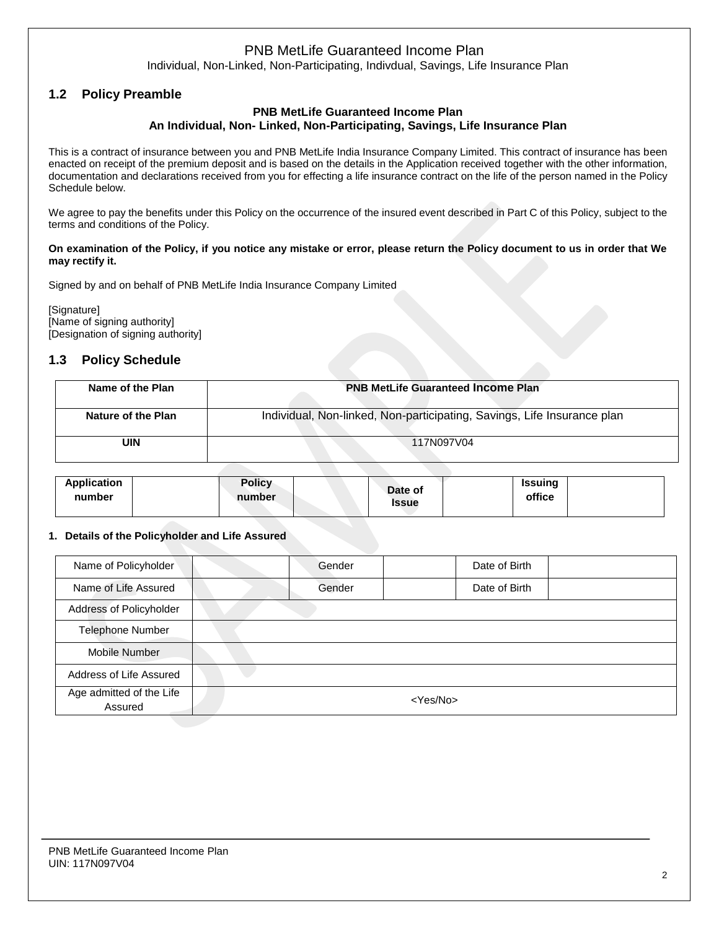Individual, Non-Linked, Non-Participating, Indivdual, Savings, Life Insurance Plan

# **1.2 Policy Preamble**

#### **PNB MetLife Guaranteed Income Plan An Individual, Non- Linked, Non-Participating, Savings, Life Insurance Plan**

This is a contract of insurance between you and PNB MetLife India Insurance Company Limited. This contract of insurance has been enacted on receipt of the premium deposit and is based on the details in the Application received together with the other information, documentation and declarations received from you for effecting a life insurance contract on the life of the person named in the Policy Schedule below.

We agree to pay the benefits under this Policy on the occurrence of the insured event described in Part C of this Policy, subject to the terms and conditions of the Policy.

#### **On examination of the Policy, if you notice any mistake or error, please return the Policy document to us in order that We may rectify it.**

Signed by and on behalf of PNB MetLife India Insurance Company Limited

[Signature] [Name of signing authority] [Designation of signing authority]

### **1.3 Policy Schedule**

| Name of the Plan   | <b>PNB MetLife Guaranteed Income Plan</b>                               |
|--------------------|-------------------------------------------------------------------------|
| Nature of the Plan | Individual, Non-linked, Non-participating, Savings, Life Insurance plan |
| UIN                | 117N097V04                                                              |

| <b>Application</b><br>number | <b>Policy</b><br>number | Date of<br><b>Issue</b> | <b>Issuing</b><br>office |  |
|------------------------------|-------------------------|-------------------------|--------------------------|--|
|                              |                         |                         |                          |  |

#### **1. Details of the Policyholder and Life Assured**

| Name of Policyholder                | Gender            | Date of Birth |  |  |  |  |
|-------------------------------------|-------------------|---------------|--|--|--|--|
| Name of Life Assured                | Gender            | Date of Birth |  |  |  |  |
| Address of Policyholder             |                   |               |  |  |  |  |
| <b>Telephone Number</b>             |                   |               |  |  |  |  |
| Mobile Number                       |                   |               |  |  |  |  |
| Address of Life Assured             |                   |               |  |  |  |  |
| Age admitted of the Life<br>Assured | <yes no=""></yes> |               |  |  |  |  |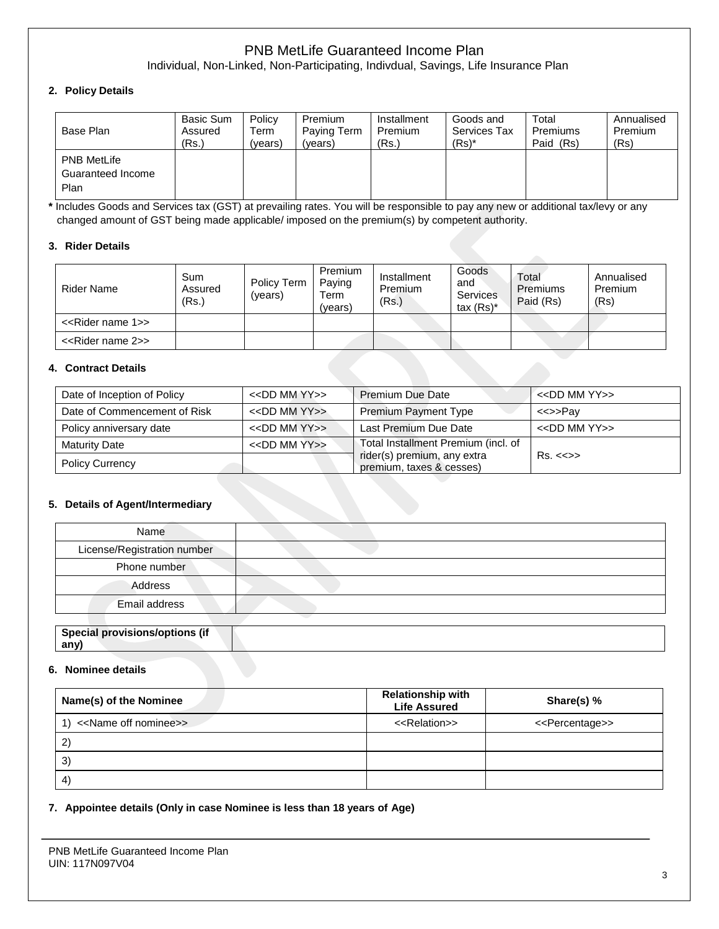Individual, Non-Linked, Non-Participating, Indivdual, Savings, Life Insurance Plan

### **2. Policy Details**

| Base Plan                                       | Basic Sum | Policy  | Premium     | Installment | Goods and    | Total     | Annualised |
|-------------------------------------------------|-----------|---------|-------------|-------------|--------------|-----------|------------|
|                                                 | Assured   | Term    | Paying Term | Premium     | Services Tax | Premiums  | Premium    |
|                                                 | (Rs.)     | (years) | (years)     | (Rs.)       | $(Rs)^*$     | Paid (Rs) | (Rs)       |
| <b>PNB MetLife</b><br>Guaranteed Income<br>Plan |           |         |             |             |              |           |            |

**\*** Includes Goods and Services tax (GST) at prevailing rates. You will be responsible to pay any new or additional tax/levy or any changed amount of GST being made applicable/ imposed on the premium(s) by competent authority.

#### **3. Rider Details**

| <b>Rider Name</b>                  | Sum<br>Assured<br>(Rs.) | Policy Term<br>(vears) | Premium<br>Paying<br>Term<br>(vears) | Installment<br>Premium<br>(Rs.) | Goods<br>and<br><b>Services</b><br>tax $(Rs)^*$ | Total<br>Premiums<br>Paid (Rs) | Annualised<br>Premium<br>(Rs) |
|------------------------------------|-------------------------|------------------------|--------------------------------------|---------------------------------|-------------------------------------------------|--------------------------------|-------------------------------|
| < <rider 1="" name="">&gt;</rider> |                         |                        |                                      |                                 |                                                 |                                |                               |
| < <rider 2="" name="">&gt;</rider> |                         |                        |                                      |                                 |                                                 |                                |                               |

#### **4. Contract Details**

| Date of Inception of Policy  | $<<$ DD MM YY $>>$ | <b>Premium Due Date</b>                                 | $<<$ DD MM YY $>>$      |
|------------------------------|--------------------|---------------------------------------------------------|-------------------------|
| Date of Commencement of Risk | $<<$ DD MM YY $>>$ | <b>Premium Payment Type</b>                             | <<>>Pav                 |
| Policy anniversary date      | $<<$ DD MM YY $>>$ | Last Premium Due Date                                   | $<<$ DD MM YY $>>$      |
| <b>Maturity Date</b>         | $<<$ DD MM YY $>>$ | Total Installment Premium (incl. of                     |                         |
| <b>Policy Currency</b>       |                    | rider(s) premium, any extra<br>premium, taxes & cesses) | $Rs. < \Leftrightarrow$ |

#### **5. Details of Agent/Intermediary**

| Name                           |  |
|--------------------------------|--|
| License/Registration number    |  |
| Phone number                   |  |
| Address                        |  |
| Email address                  |  |
|                                |  |
| Special provisions/options (if |  |

# **6. Nominee details**

**any)**

| Name(s) of the Nominee                | <b>Relationship with</b><br><b>Life Assured</b> | Share(s) %                      |
|---------------------------------------|-------------------------------------------------|---------------------------------|
| < <name nominee="" off="">&gt;</name> | < <relation>&gt;</relation>                     | < <percentage>&gt;</percentage> |
| $\mathbf{2}$                          |                                                 |                                 |
| 3)                                    |                                                 |                                 |
| $\left( 4\right)$                     |                                                 |                                 |

#### **7. Appointee details (Only in case Nominee is less than 18 years of Age)**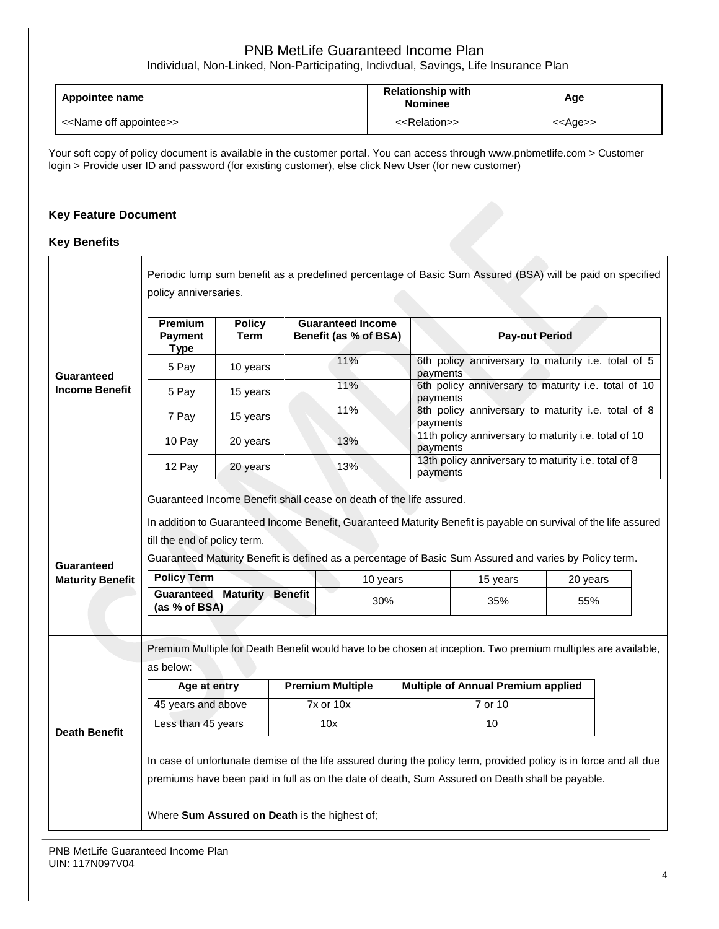Individual, Non-Linked, Non-Participating, Indivdual, Savings, Life Insurance Plan

| Appointee name                          | <b>Relationship with</b><br><b>Nominee</b> | Age               |  |
|-----------------------------------------|--------------------------------------------|-------------------|--|
| < <name appointee="" off="">&gt;</name> | < <relation>&gt;</relation>                | < <age>&gt;</age> |  |

Your soft copy of policy document is available in the customer portal. You can access through www.pnbmetlife.com > Customer login > Provide user ID and password (for existing customer), else click New User (for new customer)

#### **Key Feature Document**

#### **Key Benefits**

|                                            | Periodic lump sum benefit as a predefined percentage of Basic Sum Assured (BSA) will be paid on specified                                                                                                            |                              |          |                                                   |          |                                                                                                               |     |  |  |
|--------------------------------------------|----------------------------------------------------------------------------------------------------------------------------------------------------------------------------------------------------------------------|------------------------------|----------|---------------------------------------------------|----------|---------------------------------------------------------------------------------------------------------------|-----|--|--|
|                                            | policy anniversaries.                                                                                                                                                                                                |                              |          |                                                   |          |                                                                                                               |     |  |  |
|                                            | Premium<br>Payment                                                                                                                                                                                                   | <b>Policy</b><br><b>Term</b> |          | <b>Guaranteed Income</b><br>Benefit (as % of BSA) |          | <b>Pay-out Period</b>                                                                                         |     |  |  |
|                                            | <b>Type</b><br>5 Pay                                                                                                                                                                                                 | 10 years                     |          | 11%                                               |          | 6th policy anniversary to maturity i.e. total of 5<br>payments                                                |     |  |  |
| <b>Guaranteed</b><br><b>Income Benefit</b> | 5 Pay                                                                                                                                                                                                                | 15 years                     | 11%      |                                                   | payments | 6th policy anniversary to maturity i.e. total of 10                                                           |     |  |  |
|                                            | 7 Pay                                                                                                                                                                                                                | 15 years                     |          | 11%                                               | payments | 8th policy anniversary to maturity i.e. total of 8                                                            |     |  |  |
|                                            | 10 Pay                                                                                                                                                                                                               | 20 years                     |          | 13%                                               | payments | 11th policy anniversary to maturity i.e. total of 10                                                          |     |  |  |
|                                            | 12 Pay                                                                                                                                                                                                               | 20 years                     |          | 13%                                               |          | 13th policy anniversary to maturity i.e. total of 8<br>payments                                               |     |  |  |
|                                            | Guaranteed Income Benefit shall cease on death of the life assured.                                                                                                                                                  |                              |          |                                                   |          |                                                                                                               |     |  |  |
|                                            | In addition to Guaranteed Income Benefit, Guaranteed Maturity Benefit is payable on survival of the life assured                                                                                                     |                              |          |                                                   |          |                                                                                                               |     |  |  |
|                                            | till the end of policy term.                                                                                                                                                                                         |                              |          |                                                   |          |                                                                                                               |     |  |  |
| <b>Guaranteed</b>                          | Guaranteed Maturity Benefit is defined as a percentage of Basic Sum Assured and varies by Policy term.                                                                                                               |                              |          |                                                   |          |                                                                                                               |     |  |  |
| <b>Maturity Benefit</b>                    | <b>Policy Term</b>                                                                                                                                                                                                   |                              | 10 years |                                                   | 15 years | 20 years                                                                                                      |     |  |  |
|                                            | <b>Guaranteed Maturity Benefit</b><br>(as % of BSA)                                                                                                                                                                  |                              |          | 30%                                               |          | 35%                                                                                                           | 55% |  |  |
|                                            |                                                                                                                                                                                                                      |                              |          |                                                   |          |                                                                                                               |     |  |  |
|                                            |                                                                                                                                                                                                                      |                              |          |                                                   |          | Premium Multiple for Death Benefit would have to be chosen at inception. Two premium multiples are available, |     |  |  |
|                                            | as below:                                                                                                                                                                                                            |                              |          |                                                   |          |                                                                                                               |     |  |  |
|                                            | Age at entry                                                                                                                                                                                                         |                              |          | <b>Premium Multiple</b>                           |          | <b>Multiple of Annual Premium applied</b>                                                                     |     |  |  |
|                                            | 45 years and above                                                                                                                                                                                                   |                              |          | 7x or 10x                                         |          | $\frac{1}{7}$ or 10                                                                                           |     |  |  |
| <b>Death Benefit</b>                       | Less than 45 years                                                                                                                                                                                                   |                              |          | 10x                                               |          | 10                                                                                                            |     |  |  |
|                                            | In case of unfortunate demise of the life assured during the policy term, provided policy is in force and all due<br>premiums have been paid in full as on the date of death, Sum Assured on Death shall be payable. |                              |          |                                                   |          |                                                                                                               |     |  |  |
|                                            | Where Sum Assured on Death is the highest of;                                                                                                                                                                        |                              |          |                                                   |          |                                                                                                               |     |  |  |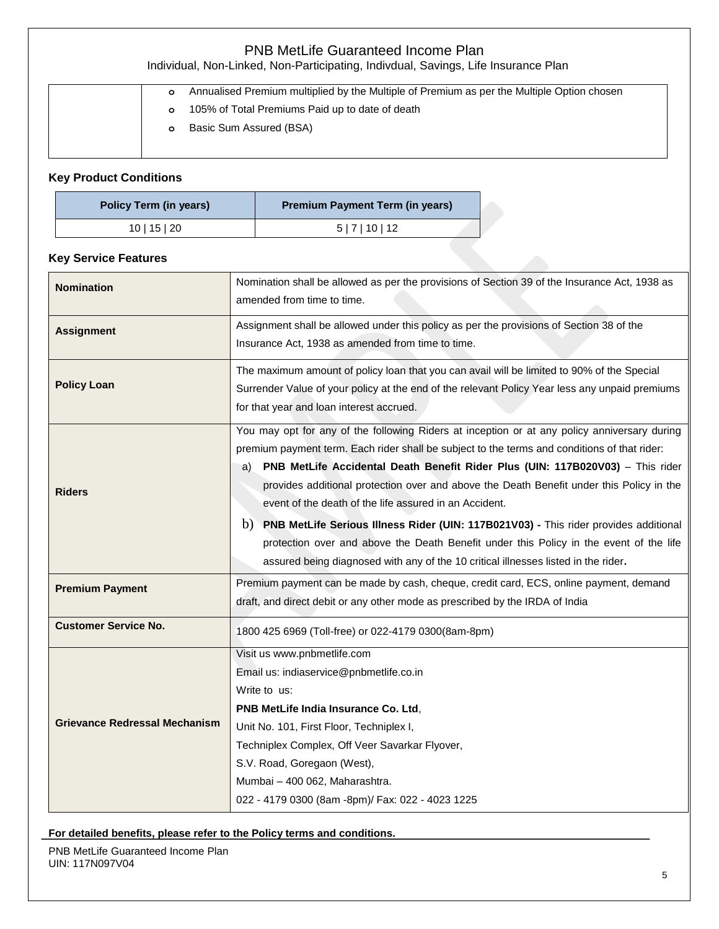| <b>PNB MetLife Guaranteed Income Plan</b><br>Individual, Non-Linked, Non-Participating, Indivdual, Savings, Life Insurance Plan |                                                                                                                                                                     |  |  |
|---------------------------------------------------------------------------------------------------------------------------------|---------------------------------------------------------------------------------------------------------------------------------------------------------------------|--|--|
|                                                                                                                                 | Annualised Premium multiplied by the Multiple of Premium as per the Multiple Option chosen<br>$\circ$<br>105% of Total Premiums Paid up to date of death<br>$\circ$ |  |  |
|                                                                                                                                 | Basic Sum Assured (BSA)<br>$\circ$                                                                                                                                  |  |  |

# **Key Product Conditions**

| Policy Term (in years) | <b>Premium Payment Term (in years)</b> |
|------------------------|----------------------------------------|
| 10   15   20           | 5 7 10 12                              |

### **Key Service Features**

| <b>Nomination</b>                    | Nomination shall be allowed as per the provisions of Section 39 of the Insurance Act, 1938 as<br>amended from time to time.                                                                                                                                                                                                                                                                                                                                                                                                                                                                                                                                                                                           |
|--------------------------------------|-----------------------------------------------------------------------------------------------------------------------------------------------------------------------------------------------------------------------------------------------------------------------------------------------------------------------------------------------------------------------------------------------------------------------------------------------------------------------------------------------------------------------------------------------------------------------------------------------------------------------------------------------------------------------------------------------------------------------|
| <b>Assignment</b>                    | Assignment shall be allowed under this policy as per the provisions of Section 38 of the<br>Insurance Act, 1938 as amended from time to time.                                                                                                                                                                                                                                                                                                                                                                                                                                                                                                                                                                         |
| <b>Policy Loan</b>                   | The maximum amount of policy loan that you can avail will be limited to 90% of the Special<br>Surrender Value of your policy at the end of the relevant Policy Year less any unpaid premiums<br>for that year and loan interest accrued.                                                                                                                                                                                                                                                                                                                                                                                                                                                                              |
| <b>Riders</b>                        | You may opt for any of the following Riders at inception or at any policy anniversary during<br>premium payment term. Each rider shall be subject to the terms and conditions of that rider:<br>PNB MetLife Accidental Death Benefit Rider Plus (UIN: 117B020V03) - This rider<br>a)<br>provides additional protection over and above the Death Benefit under this Policy in the<br>event of the death of the life assured in an Accident.<br>b) PNB MetLife Serious Illness Rider (UIN: 117B021V03) - This rider provides additional<br>protection over and above the Death Benefit under this Policy in the event of the life<br>assured being diagnosed with any of the 10 critical illnesses listed in the rider. |
| <b>Premium Payment</b>               | Premium payment can be made by cash, cheque, credit card, ECS, online payment, demand<br>draft, and direct debit or any other mode as prescribed by the IRDA of India                                                                                                                                                                                                                                                                                                                                                                                                                                                                                                                                                 |
| <b>Customer Service No.</b>          | 1800 425 6969 (Toll-free) or 022-4179 0300(8am-8pm)                                                                                                                                                                                                                                                                                                                                                                                                                                                                                                                                                                                                                                                                   |
| <b>Grievance Redressal Mechanism</b> | Visit us www.pnbmetlife.com<br>Email us: indiaservice@pnbmetlife.co.in<br>Write to us:<br>PNB MetLife India Insurance Co. Ltd,<br>Unit No. 101, First Floor, Techniplex I,<br>Techniplex Complex, Off Veer Savarkar Flyover,<br>S.V. Road, Goregaon (West),<br>Mumbai - 400 062, Maharashtra.<br>022 - 4179 0300 (8am -8pm)/ Fax: 022 - 4023 1225                                                                                                                                                                                                                                                                                                                                                                     |

# **For detailed benefits, please refer to the Policy terms and conditions.**

PNB MetLife Guaranteed Income Plan UIN: 117N097V04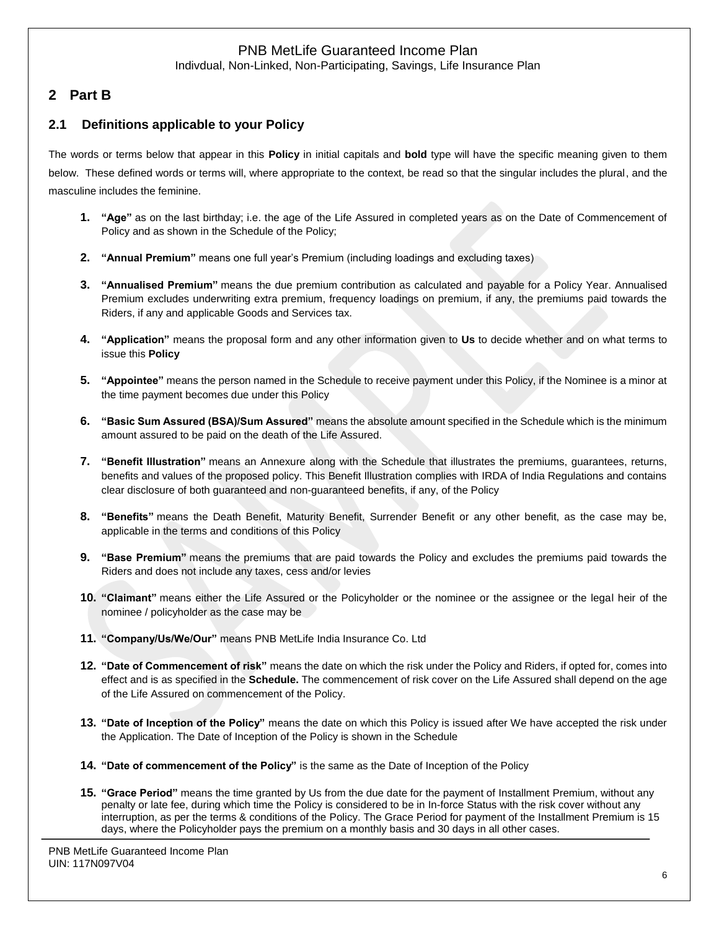Indivdual, Non-Linked, Non-Participating, Savings, Life Insurance Plan

# **2 Part B**

# **2.1 Definitions applicable to your Policy**

The words or terms below that appear in this **Policy** in initial capitals and **bold** type will have the specific meaning given to them below. These defined words or terms will, where appropriate to the context, be read so that the singular includes the plural, and the masculine includes the feminine.

- **1. "Age"** as on the last birthday; i.e. the age of the Life Assured in completed years as on the Date of Commencement of Policy and as shown in the Schedule of the Policy;
- **2. "Annual Premium"** means one full year's Premium (including loadings and excluding taxes)
- **3. "Annualised Premium"** means the due premium contribution as calculated and payable for a Policy Year. Annualised Premium excludes underwriting extra premium, frequency loadings on premium, if any, the premiums paid towards the Riders, if any and applicable Goods and Services tax.
- **4. "Application"** means the proposal form and any other information given to **Us** to decide whether and on what terms to issue this **Policy**
- **5. "Appointee"** means the person named in the Schedule to receive payment under this Policy, if the Nominee is a minor at the time payment becomes due under this Policy
- **6. "Basic Sum Assured (BSA)/Sum Assured"** means the absolute amount specified in the Schedule which is the minimum amount assured to be paid on the death of the Life Assured.
- **7. "Benefit Illustration"** means an Annexure along with the Schedule that illustrates the premiums, guarantees, returns, benefits and values of the proposed policy. This Benefit Illustration complies with IRDA of India Regulations and contains clear disclosure of both guaranteed and non-guaranteed benefits, if any, of the Policy
- **8. "Benefits"** means the Death Benefit, Maturity Benefit, Surrender Benefit or any other benefit, as the case may be, applicable in the terms and conditions of this Policy
- **9. "Base Premium"** means the premiums that are paid towards the Policy and excludes the premiums paid towards the Riders and does not include any taxes, cess and/or levies
- **10. "Claimant"** means either the Life Assured or the Policyholder or the nominee or the assignee or the legal heir of the nominee / policyholder as the case may be
- **11. "Company/Us/We/Our"** means PNB MetLife India Insurance Co. Ltd
- **12. "Date of Commencement of risk"** means the date on which the risk under the Policy and Riders, if opted for, comes into effect and is as specified in the **Schedule.** The commencement of risk cover on the Life Assured shall depend on the age of the Life Assured on commencement of the Policy.
- **13. "Date of Inception of the Policy"** means the date on which this Policy is issued after We have accepted the risk under the Application. The Date of Inception of the Policy is shown in the Schedule
- **14. "Date of commencement of the Policy"** is the same as the Date of Inception of the Policy
- **15. "Grace Period"** means the time granted by Us from the due date for the payment of Installment Premium, without any penalty or late fee, during which time the Policy is considered to be in In-force Status with the risk cover without any interruption, as per the terms & conditions of the Policy. The Grace Period for payment of the Installment Premium is 15 days, where the Policyholder pays the premium on a monthly basis and 30 days in all other cases.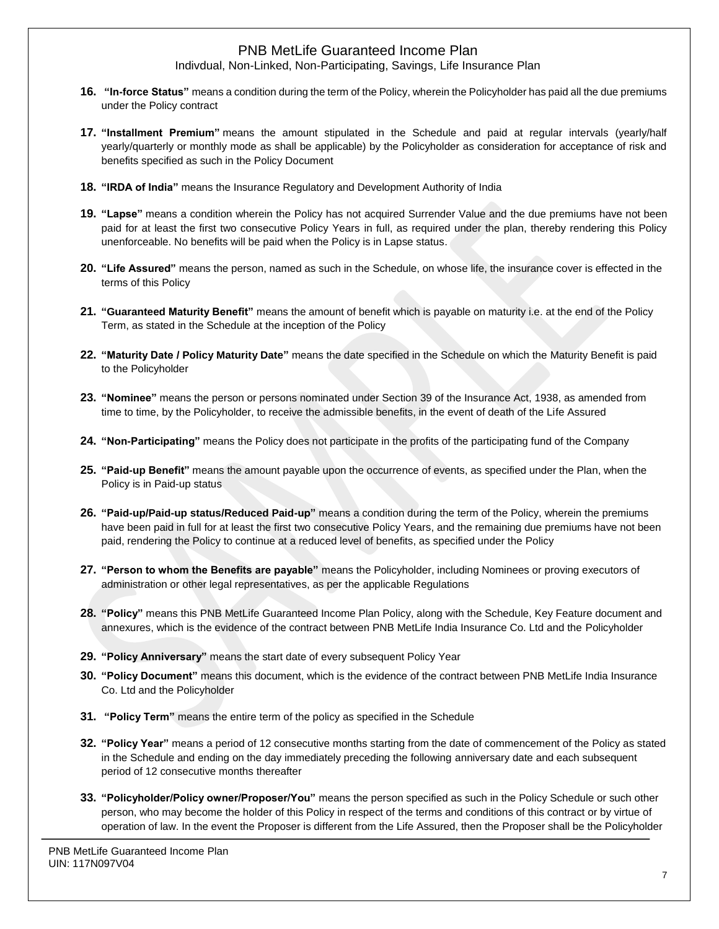Indivdual, Non-Linked, Non-Participating, Savings, Life Insurance Plan

- **16. "In-force Status"** means a condition during the term of the Policy, wherein the Policyholder has paid all the due premiums under the Policy contract
- **17. "Installment Premium"** means the amount stipulated in the Schedule and paid at regular intervals (yearly/half yearly/quarterly or monthly mode as shall be applicable) by the Policyholder as consideration for acceptance of risk and benefits specified as such in the Policy Document
- **18. "IRDA of India"** means the Insurance Regulatory and Development Authority of India
- **19. "Lapse"** means a condition wherein the Policy has not acquired Surrender Value and the due premiums have not been paid for at least the first two consecutive Policy Years in full, as required under the plan, thereby rendering this Policy unenforceable. No benefits will be paid when the Policy is in Lapse status.
- **20. "Life Assured"** means the person, named as such in the Schedule, on whose life, the insurance cover is effected in the terms of this Policy
- **21. "Guaranteed Maturity Benefit"** means the amount of benefit which is payable on maturity i.e. at the end of the Policy Term, as stated in the Schedule at the inception of the Policy
- **22. "Maturity Date / Policy Maturity Date"** means the date specified in the Schedule on which the Maturity Benefit is paid to the Policyholder
- **23. "Nominee"** means the person or persons nominated under Section 39 of the Insurance Act, 1938, as amended from time to time, by the Policyholder, to receive the admissible benefits, in the event of death of the Life Assured
- **24. "Non-Participating"** means the Policy does not participate in the profits of the participating fund of the Company
- **25. "Paid-up Benefit"** means the amount payable upon the occurrence of events, as specified under the Plan, when the Policy is in Paid-up status
- **26. "Paid-up/Paid-up status/Reduced Paid-up"** means a condition during the term of the Policy, wherein the premiums have been paid in full for at least the first two consecutive Policy Years, and the remaining due premiums have not been paid, rendering the Policy to continue at a reduced level of benefits, as specified under the Policy
- **27. "Person to whom the Benefits are payable"** means the Policyholder, including Nominees or proving executors of administration or other legal representatives, as per the applicable Regulations
- **28. "Policy"** means this PNB MetLife Guaranteed Income Plan Policy, along with the Schedule, Key Feature document and annexures, which is the evidence of the contract between PNB MetLife India Insurance Co. Ltd and the Policyholder
- **29. "Policy Anniversary"** means the start date of every subsequent Policy Year
- **30. "Policy Document"** means this document, which is the evidence of the contract between PNB MetLife India Insurance Co. Ltd and the Policyholder
- **31. "Policy Term"** means the entire term of the policy as specified in the Schedule
- **32. "Policy Year"** means a period of 12 consecutive months starting from the date of commencement of the Policy as stated in the Schedule and ending on the day immediately preceding the following anniversary date and each subsequent period of 12 consecutive months thereafter
- **33. "Policyholder/Policy owner/Proposer/You"** means the person specified as such in the Policy Schedule or such other person, who may become the holder of this Policy in respect of the terms and conditions of this contract or by virtue of operation of law. In the event the Proposer is different from the Life Assured, then the Proposer shall be the Policyholder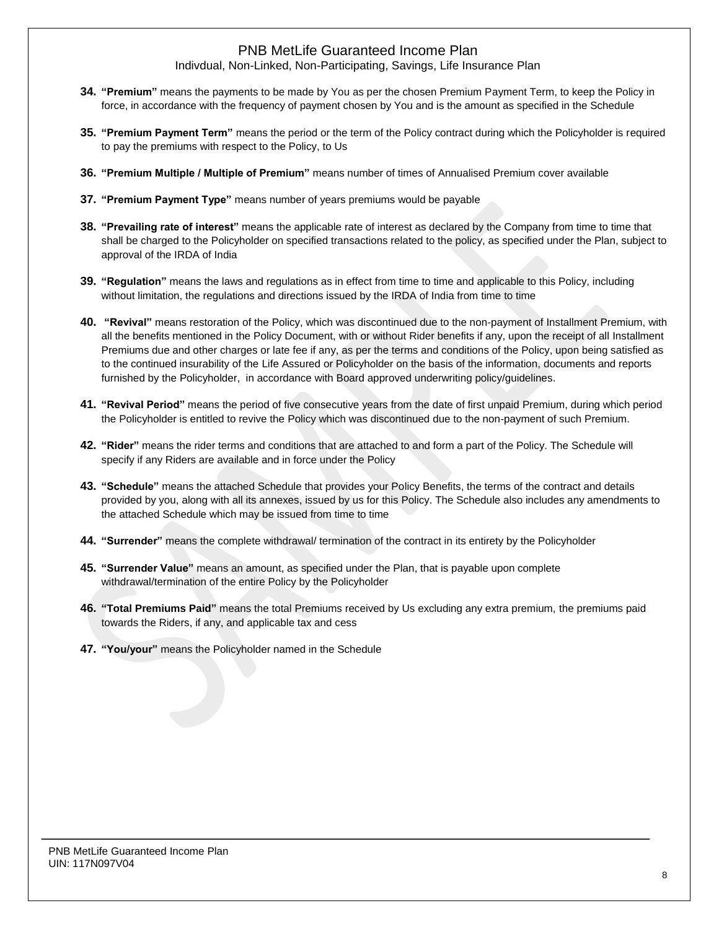Indivdual, Non-Linked, Non-Participating, Savings, Life Insurance Plan

- **34. "Premium"** means the payments to be made by You as per the chosen Premium Payment Term, to keep the Policy in force, in accordance with the frequency of payment chosen by You and is the amount as specified in the Schedule
- **35. "Premium Payment Term"** means the period or the term of the Policy contract during which the Policyholder is required to pay the premiums with respect to the Policy, to Us
- **36. "Premium Multiple / Multiple of Premium"** means number of times of Annualised Premium cover available
- **37. "Premium Payment Type"** means number of years premiums would be payable
- **38. "Prevailing rate of interest"** means the applicable rate of interest as declared by the Company from time to time that shall be charged to the Policyholder on specified transactions related to the policy, as specified under the Plan, subject to approval of the IRDA of India
- **39. "Regulation"** means the laws and regulations as in effect from time to time and applicable to this Policy, including without limitation, the regulations and directions issued by the IRDA of India from time to time
- **40. "Revival"** means restoration of the Policy, which was discontinued due to the non-payment of Installment Premium, with all the benefits mentioned in the Policy Document, with or without Rider benefits if any, upon the receipt of all Installment Premiums due and other charges or late fee if any, as per the terms and conditions of the Policy, upon being satisfied as to the continued insurability of the Life Assured or Policyholder on the basis of the information, documents and reports furnished by the Policyholder, in accordance with Board approved underwriting policy/guidelines.
- **41. "Revival Period"** means the period of five consecutive years from the date of first unpaid Premium, during which period the Policyholder is entitled to revive the Policy which was discontinued due to the non-payment of such Premium.
- **42. "Rider"** means the rider terms and conditions that are attached to and form a part of the Policy. The Schedule will specify if any Riders are available and in force under the Policy
- **43. "Schedule"** means the attached Schedule that provides your Policy Benefits, the terms of the contract and details provided by you, along with all its annexes, issued by us for this Policy. The Schedule also includes any amendments to the attached Schedule which may be issued from time to time
- **44. "Surrender"** means the complete withdrawal/ termination of the contract in its entirety by the Policyholder
- **45. "Surrender Value"** means an amount, as specified under the Plan, that is payable upon complete withdrawal/termination of the entire Policy by the Policyholder
- **46. "Total Premiums Paid"** means the total Premiums received by Us excluding any extra premium, the premiums paid towards the Riders, if any, and applicable tax and cess
- **47. "You/your"** means the Policyholder named in the Schedule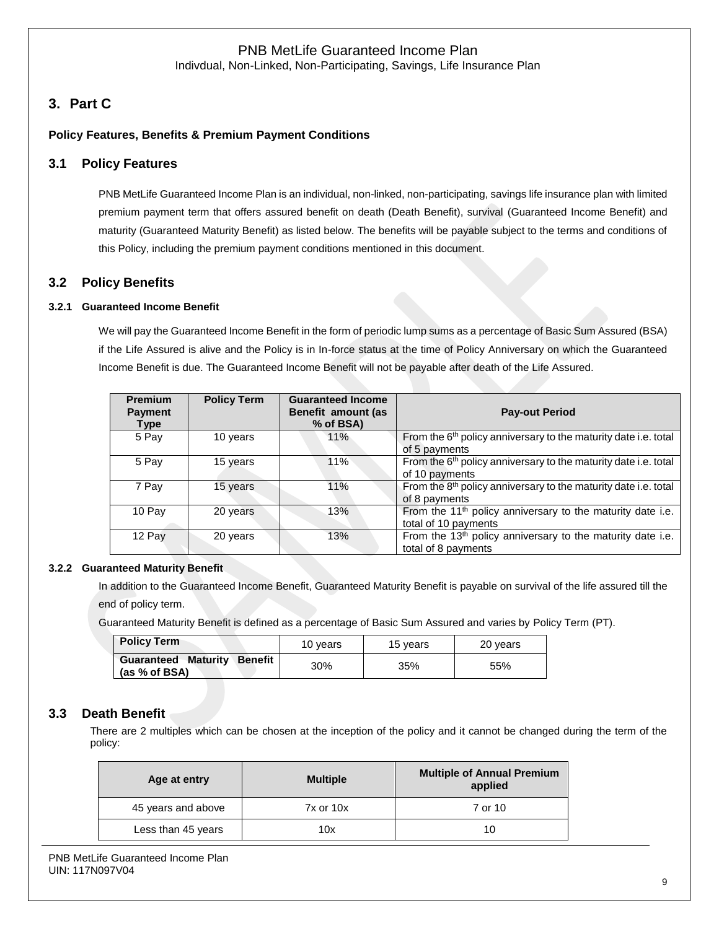Indivdual, Non-Linked, Non-Participating, Savings, Life Insurance Plan

# **3. Part C**

#### **Policy Features, Benefits & Premium Payment Conditions**

#### **3.1 Policy Features**

PNB MetLife Guaranteed Income Plan is an individual, non-linked, non-participating, savings life insurance plan with limited premium payment term that offers assured benefit on death (Death Benefit), survival (Guaranteed Income Benefit) and maturity (Guaranteed Maturity Benefit) as listed below. The benefits will be payable subject to the terms and conditions of this Policy, including the premium payment conditions mentioned in this document.

#### **3.2 Policy Benefits**

#### **3.2.1 Guaranteed Income Benefit**

We will pay the Guaranteed Income Benefit in the form of periodic lump sums as a percentage of Basic Sum Assured (BSA) if the Life Assured is alive and the Policy is in In-force status at the time of Policy Anniversary on which the Guaranteed Income Benefit is due. The Guaranteed Income Benefit will not be payable after death of the Life Assured.

| <b>Premium</b><br><b>Payment</b><br><b>Type</b> | <b>Policy Term</b> | <b>Guaranteed Income</b><br>Benefit amount (as<br>% of BSA) | <b>Pay-out Period</b>                                                                          |
|-------------------------------------------------|--------------------|-------------------------------------------------------------|------------------------------------------------------------------------------------------------|
| 5 Pay                                           | 10 years           | 11%                                                         | From the 6 <sup>th</sup> policy anniversary to the maturity date i.e. total<br>of 5 payments   |
| 5 Pay                                           | 15 years           | 11%                                                         | From the 6 <sup>th</sup> policy anniversary to the maturity date i.e. total<br>of 10 payments  |
| 7 Pay                                           | 15 years           | 11%                                                         | From the 8 <sup>th</sup> policy anniversary to the maturity date i.e. total<br>of 8 payments   |
| 10 Pay                                          | 20 years           | 13%                                                         | From the 11 <sup>th</sup> policy anniversary to the maturity date i.e.<br>total of 10 payments |
| 12 Pay                                          | 20 years           | 13%                                                         | From the 13 <sup>th</sup> policy anniversary to the maturity date i.e.<br>total of 8 payments  |

#### **3.2.2 Guaranteed Maturity Benefit**

In addition to the Guaranteed Income Benefit, Guaranteed Maturity Benefit is payable on survival of the life assured till the end of policy term.

Guaranteed Maturity Benefit is defined as a percentage of Basic Sum Assured and varies by Policy Term (PT).

| <b>Policy Term</b>                                  | 10 vears | 15 vears | 20 years |
|-----------------------------------------------------|----------|----------|----------|
| <b>Guaranteed Maturity Benefit</b><br>(as % of BSA) | 30%      | 35%      | 55%      |

### **3.3 Death Benefit**

There are 2 multiples which can be chosen at the inception of the policy and it cannot be changed during the term of the policy:

| Age at entry       | <b>Multiple</b> | <b>Multiple of Annual Premium</b><br>applied |
|--------------------|-----------------|----------------------------------------------|
| 45 years and above | $7x$ or $10x$   | 7 or 10                                      |
| Less than 45 years | 10x             | 10                                           |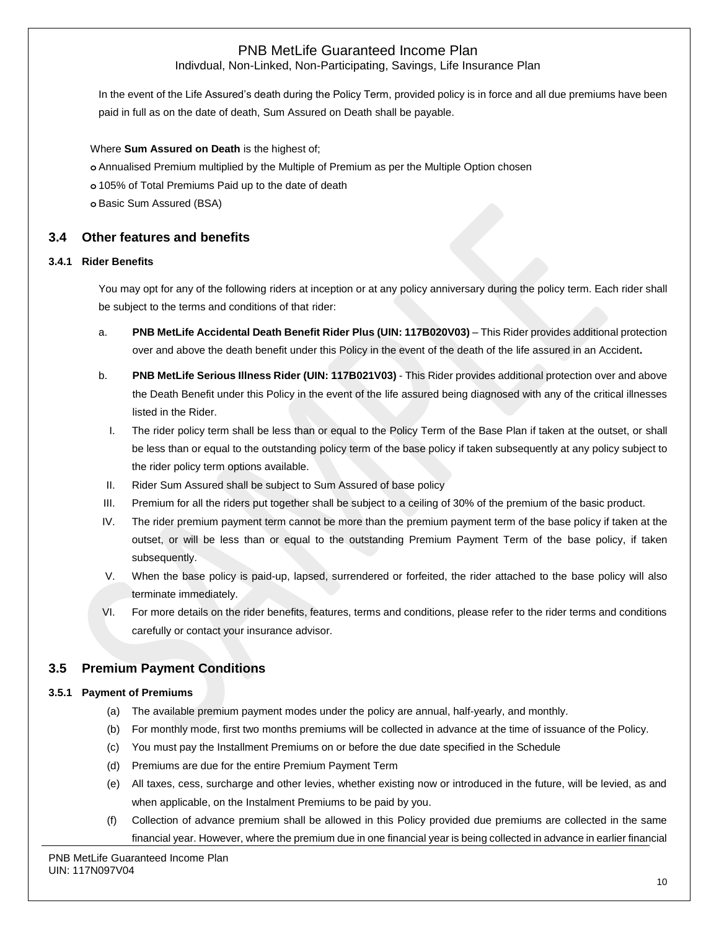Indivdual, Non-Linked, Non-Participating, Savings, Life Insurance Plan

In the event of the Life Assured's death during the Policy Term, provided policy is in force and all due premiums have been paid in full as on the date of death, Sum Assured on Death shall be payable.

Where **Sum Assured on Death** is the highest of;

**o** Annualised Premium multiplied by the Multiple of Premium as per the Multiple Option chosen

**o** 105% of Total Premiums Paid up to the date of death

**o** Basic Sum Assured (BSA)

#### **3.4 Other features and benefits**

#### **3.4.1 Rider Benefits**

You may opt for any of the following riders at inception or at any policy anniversary during the policy term. Each rider shall be subject to the terms and conditions of that rider:

- a. **PNB MetLife Accidental Death Benefit Rider Plus (UIN: 117B020V03)** This Rider provides additional protection over and above the death benefit under this Policy in the event of the death of the life assured in an Accident**.**
- b. **PNB MetLife Serious Illness Rider (UIN: 117B021V03)** This Rider provides additional protection over and above the Death Benefit under this Policy in the event of the life assured being diagnosed with any of the critical illnesses listed in the Rider.
	- I. The rider policy term shall be less than or equal to the Policy Term of the Base Plan if taken at the outset, or shall be less than or equal to the outstanding policy term of the base policy if taken subsequently at any policy subject to the rider policy term options available.
- II. Rider Sum Assured shall be subject to Sum Assured of base policy
- III. Premium for all the riders put together shall be subject to a ceiling of 30% of the premium of the basic product.
- IV. The rider premium payment term cannot be more than the premium payment term of the base policy if taken at the outset, or will be less than or equal to the outstanding Premium Payment Term of the base policy, if taken subsequently.
- V. When the base policy is paid-up, lapsed, surrendered or forfeited, the rider attached to the base policy will also terminate immediately.
- VI. For more details on the rider benefits, features, terms and conditions, please refer to the rider terms and conditions carefully or contact your insurance advisor.

### **3.5 Premium Payment Conditions**

#### **3.5.1 Payment of Premiums**

- (a) The available premium payment modes under the policy are annual, half-yearly, and monthly.
- (b) For monthly mode, first two months premiums will be collected in advance at the time of issuance of the Policy.
- (c) You must pay the Installment Premiums on or before the due date specified in the Schedule
- (d) Premiums are due for the entire Premium Payment Term
- (e) All taxes, cess, surcharge and other levies, whether existing now or introduced in the future, will be levied, as and when applicable, on the Instalment Premiums to be paid by you.
- (f) Collection of advance premium shall be allowed in this Policy provided due premiums are collected in the same financial year. However, where the premium due in one financial year is being collected in advance in earlier financial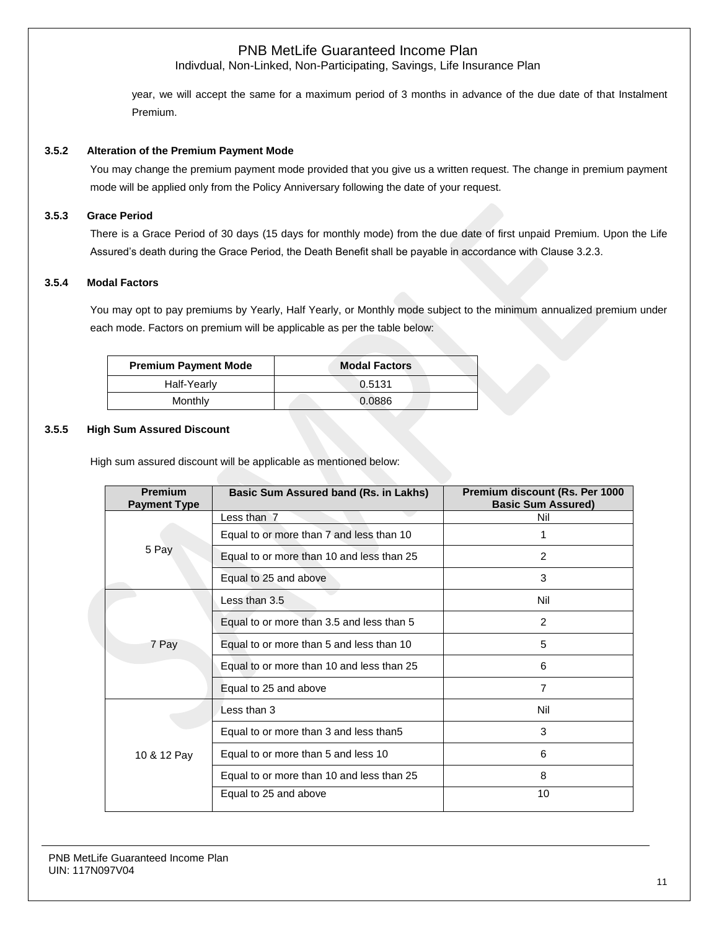Indivdual, Non-Linked, Non-Participating, Savings, Life Insurance Plan

year, we will accept the same for a maximum period of 3 months in advance of the due date of that Instalment Premium.

#### **3.5.2 Alteration of the Premium Payment Mode**

You may change the premium payment mode provided that you give us a written request. The change in premium payment mode will be applied only from the Policy Anniversary following the date of your request.

#### **3.5.3 Grace Period**

There is a Grace Period of 30 days (15 days for monthly mode) from the due date of first unpaid Premium. Upon the Life Assured's death during the Grace Period, the Death Benefit shall be payable in accordance with Clause 3.2.3.

#### **3.5.4 Modal Factors**

You may opt to pay premiums by Yearly, Half Yearly, or Monthly mode subject to the minimum annualized premium under each mode. Factors on premium will be applicable as per the table below:

| <b>Premium Payment Mode</b> | <b>Modal Factors</b> |
|-----------------------------|----------------------|
| Half-Yearly                 | 0.5131               |
| Monthly                     | 0.0886               |

#### **3.5.5 High Sum Assured Discount**

High sum assured discount will be applicable as mentioned below:

| <b>Premium</b><br><b>Payment Type</b> | Basic Sum Assured band (Rs. in Lakhs)     | Premium discount (Rs. Per 1000<br><b>Basic Sum Assured)</b> |
|---------------------------------------|-------------------------------------------|-------------------------------------------------------------|
|                                       | Less than 7                               | Nil                                                         |
|                                       | Equal to or more than 7 and less than 10  |                                                             |
| 5 Pay                                 | Equal to or more than 10 and less than 25 | 2                                                           |
|                                       | Equal to 25 and above                     | 3                                                           |
|                                       | Less than 3.5                             | Nil                                                         |
|                                       | Equal to or more than 3.5 and less than 5 | 2                                                           |
| 7 Pay                                 | Equal to or more than 5 and less than 10  | 5                                                           |
|                                       | Equal to or more than 10 and less than 25 | 6                                                           |
|                                       | Equal to 25 and above                     | $\overline{7}$                                              |
|                                       | Less than 3                               | Nil                                                         |
|                                       | Equal to or more than 3 and less than 5   | 3                                                           |
| 10 & 12 Pay                           | Equal to or more than 5 and less 10       | 6                                                           |
|                                       | Equal to or more than 10 and less than 25 | 8                                                           |
|                                       | Equal to 25 and above                     | 10                                                          |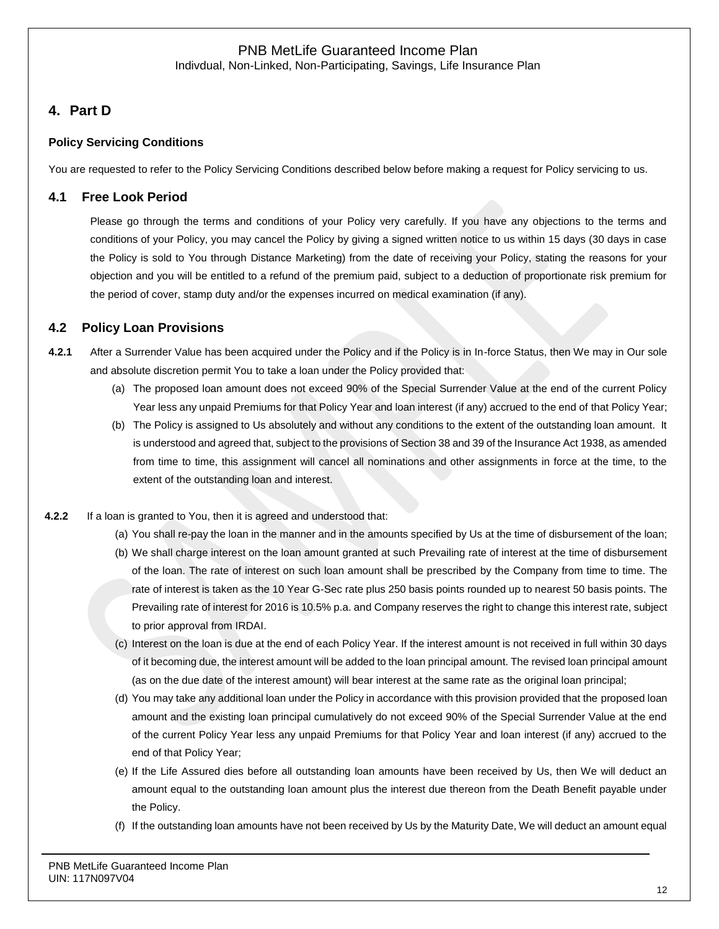Indivdual, Non-Linked, Non-Participating, Savings, Life Insurance Plan

# **4. Part D**

### **Policy Servicing Conditions**

You are requested to refer to the Policy Servicing Conditions described below before making a request for Policy servicing to us.

# **4.1 Free Look Period**

Please go through the terms and conditions of your Policy very carefully. If you have any objections to the terms and conditions of your Policy, you may cancel the Policy by giving a signed written notice to us within 15 days (30 days in case the Policy is sold to You through Distance Marketing) from the date of receiving your Policy, stating the reasons for your objection and you will be entitled to a refund of the premium paid, subject to a deduction of proportionate risk premium for the period of cover, stamp duty and/or the expenses incurred on medical examination (if any).

# **4.2 Policy Loan Provisions**

- **4.2.1** After a Surrender Value has been acquired under the Policy and if the Policy is in In-force Status, then We may in Our sole and absolute discretion permit You to take a loan under the Policy provided that:
	- (a) The proposed loan amount does not exceed 90% of the Special Surrender Value at the end of the current Policy Year less any unpaid Premiums for that Policy Year and loan interest (if any) accrued to the end of that Policy Year;
	- (b) The Policy is assigned to Us absolutely and without any conditions to the extent of the outstanding loan amount. It is understood and agreed that, subject to the provisions of Section 38 and 39 of the Insurance Act 1938, as amended from time to time, this assignment will cancel all nominations and other assignments in force at the time, to the extent of the outstanding loan and interest.
- **4.2.2** If a loan is granted to You, then it is agreed and understood that:
	- (a) You shall re-pay the loan in the manner and in the amounts specified by Us at the time of disbursement of the loan;
	- (b) We shall charge interest on the loan amount granted at such Prevailing rate of interest at the time of disbursement of the loan. The rate of interest on such loan amount shall be prescribed by the Company from time to time. The rate of interest is taken as the 10 Year G-Sec rate plus 250 basis points rounded up to nearest 50 basis points. The Prevailing rate of interest for 2016 is 10.5% p.a. and Company reserves the right to change this interest rate, subject to prior approval from IRDAI.
	- (c) Interest on the loan is due at the end of each Policy Year. If the interest amount is not received in full within 30 days of it becoming due, the interest amount will be added to the loan principal amount. The revised loan principal amount (as on the due date of the interest amount) will bear interest at the same rate as the original loan principal;
	- (d) You may take any additional loan under the Policy in accordance with this provision provided that the proposed loan amount and the existing loan principal cumulatively do not exceed 90% of the Special Surrender Value at the end of the current Policy Year less any unpaid Premiums for that Policy Year and loan interest (if any) accrued to the end of that Policy Year;
	- (e) If the Life Assured dies before all outstanding loan amounts have been received by Us, then We will deduct an amount equal to the outstanding loan amount plus the interest due thereon from the Death Benefit payable under the Policy.
	- (f) If the outstanding loan amounts have not been received by Us by the Maturity Date, We will deduct an amount equal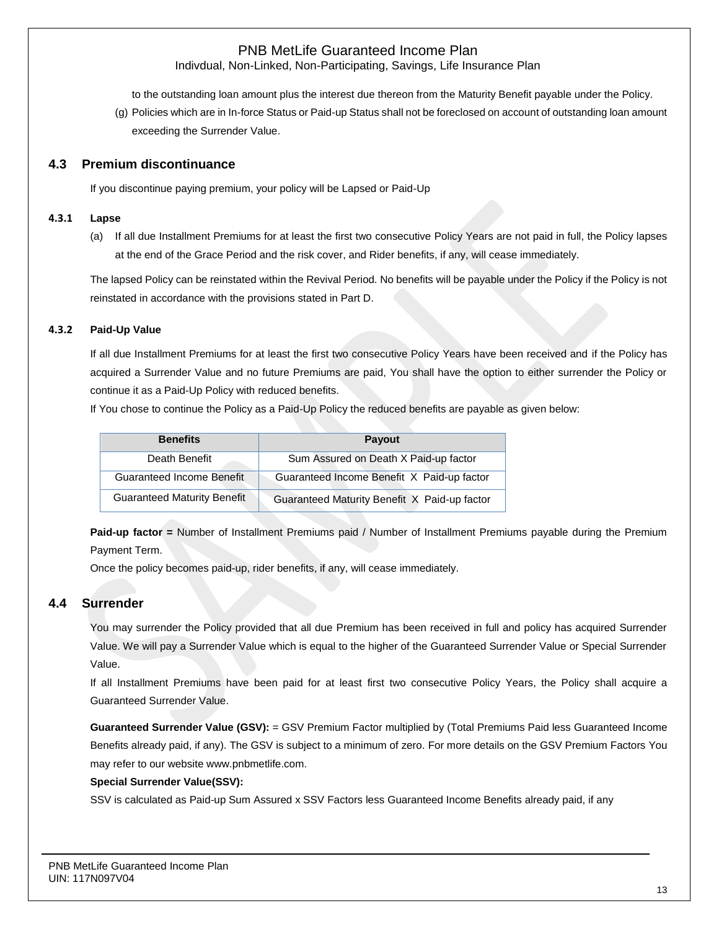Indivdual, Non-Linked, Non-Participating, Savings, Life Insurance Plan

to the outstanding loan amount plus the interest due thereon from the Maturity Benefit payable under the Policy.

(g) Policies which are in In-force Status or Paid-up Status shall not be foreclosed on account of outstanding loan amount exceeding the Surrender Value.

### **4.3 Premium discontinuance**

If you discontinue paying premium, your policy will be Lapsed or Paid-Up

#### **4.3.1 Lapse**

(a) If all due Installment Premiums for at least the first two consecutive Policy Years are not paid in full, the Policy lapses at the end of the Grace Period and the risk cover, and Rider benefits, if any, will cease immediately.

The lapsed Policy can be reinstated within the Revival Period. No benefits will be payable under the Policy if the Policy is not reinstated in accordance with the provisions stated in Part D.

#### **4.3.2 Paid-Up Value**

If all due Installment Premiums for at least the first two consecutive Policy Years have been received and if the Policy has acquired a Surrender Value and no future Premiums are paid, You shall have the option to either surrender the Policy or continue it as a Paid-Up Policy with reduced benefits.

If You chose to continue the Policy as a Paid-Up Policy the reduced benefits are payable as given below:

| <b>Benefits</b>                    | <b>Payout</b>                                |
|------------------------------------|----------------------------------------------|
| Death Benefit                      | Sum Assured on Death X Paid-up factor        |
| Guaranteed Income Benefit          | Guaranteed Income Benefit X Paid-up factor   |
| <b>Guaranteed Maturity Benefit</b> | Guaranteed Maturity Benefit X Paid-up factor |

**Paid-up factor =** Number of Installment Premiums paid / Number of Installment Premiums payable during the Premium Payment Term.

Once the policy becomes paid-up, rider benefits, if any, will cease immediately.

#### **4.4 Surrender**

You may surrender the Policy provided that all due Premium has been received in full and policy has acquired Surrender Value. We will pay a Surrender Value which is equal to the higher of the Guaranteed Surrender Value or Special Surrender Value.

If all Installment Premiums have been paid for at least first two consecutive Policy Years, the Policy shall acquire a Guaranteed Surrender Value.

**Guaranteed Surrender Value (GSV):** = GSV Premium Factor multiplied by (Total Premiums Paid less Guaranteed Income Benefits already paid, if any). The GSV is subject to a minimum of zero. For more details on the GSV Premium Factors You may refer to our website [www.pnbmetlife.com.](http://www.pnbmetlife.com/)

#### **Special Surrender Value(SSV):**

SSV is calculated as Paid-up Sum Assured x SSV Factors less Guaranteed Income Benefits already paid, if any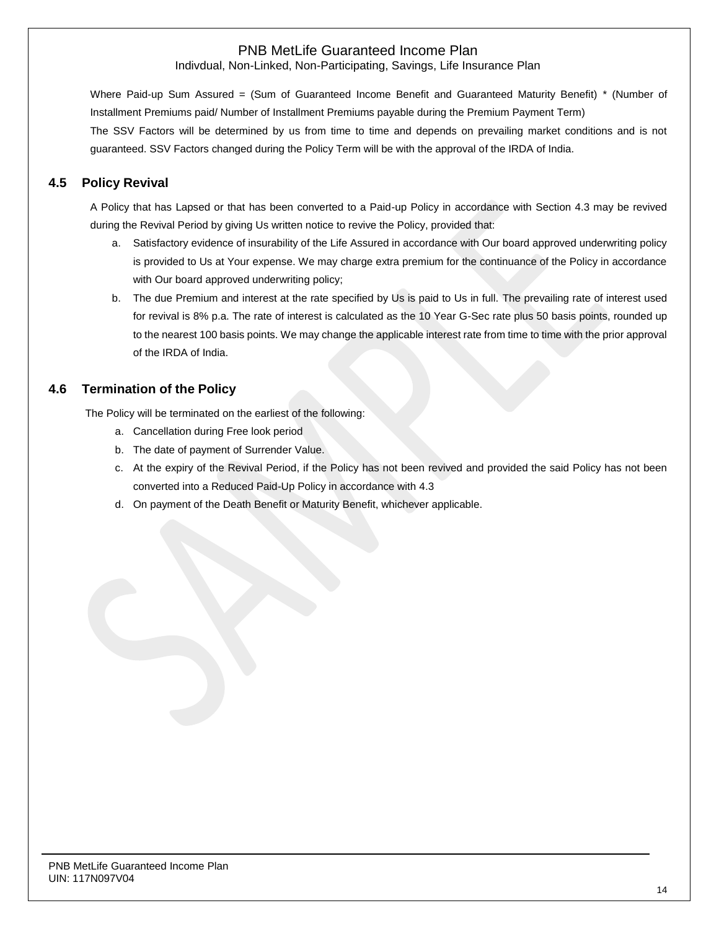Indivdual, Non-Linked, Non-Participating, Savings, Life Insurance Plan

Where Paid-up Sum Assured = (Sum of Guaranteed Income Benefit and Guaranteed Maturity Benefit) \* (Number of Installment Premiums paid/ Number of Installment Premiums payable during the Premium Payment Term) The SSV Factors will be determined by us from time to time and depends on prevailing market conditions and is not guaranteed. SSV Factors changed during the Policy Term will be with the approval of the IRDA of India.

# **4.5 Policy Revival**

A Policy that has Lapsed or that has been converted to a Paid-up Policy in accordance with Section 4.3 may be revived during the Revival Period by giving Us written notice to revive the Policy, provided that:

- a. Satisfactory evidence of insurability of the Life Assured in accordance with Our board approved underwriting policy is provided to Us at Your expense. We may charge extra premium for the continuance of the Policy in accordance with Our board approved underwriting policy;
- b. The due Premium and interest at the rate specified by Us is paid to Us in full. The prevailing rate of interest used for revival is 8% p.a. The rate of interest is calculated as the 10 Year G-Sec rate plus 50 basis points, rounded up to the nearest 100 basis points. We may change the applicable interest rate from time to time with the prior approval of the IRDA of India.

### **4.6 Termination of the Policy**

The Policy will be terminated on the earliest of the following:

- a. Cancellation during Free look period
- b. The date of payment of Surrender Value.
- c. At the expiry of the Revival Period, if the Policy has not been revived and provided the said Policy has not been converted into a Reduced Paid-Up Policy in accordance with 4.3
- d. On payment of the Death Benefit or Maturity Benefit, whichever applicable.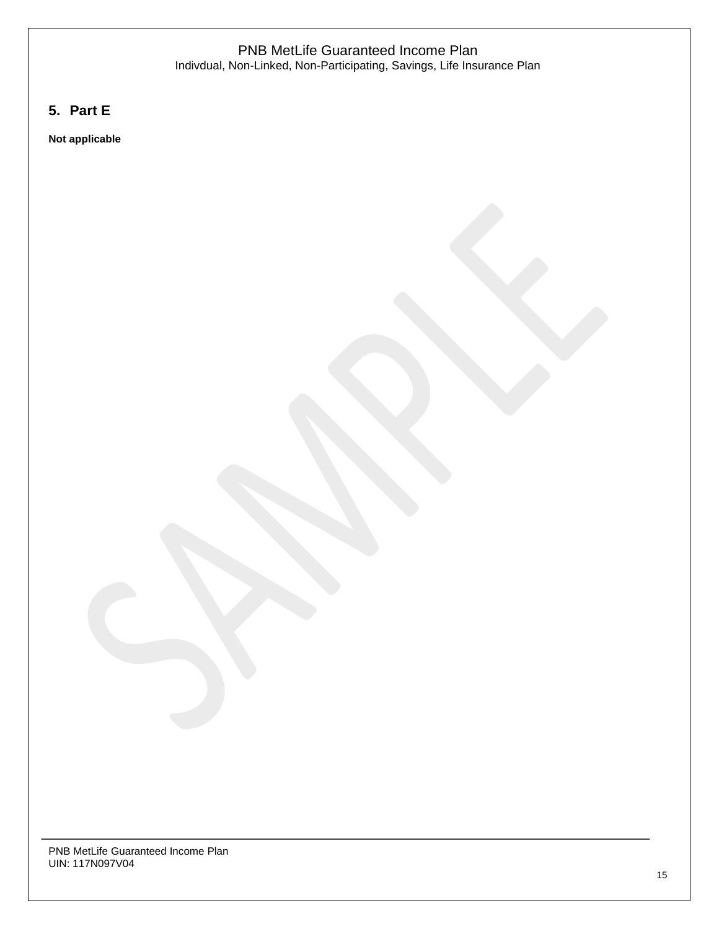### PNB MetLife Guaranteed Income Plan Indivdual, Non-Linked, Non-Participating, Savings, Life Insurance Plan

# **5. Part E**

**Not applicable**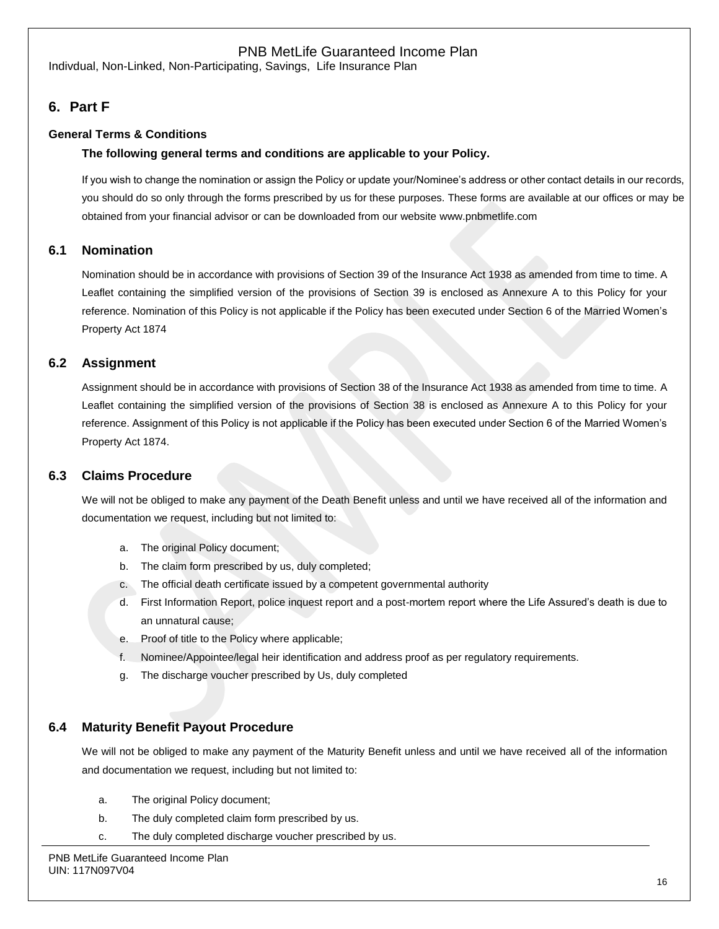Indivdual, Non-Linked, Non-Participating, Savings, Life Insurance Plan

# **6. Part F**

### **General Terms & Conditions**

#### **The following general terms and conditions are applicable to your Policy.**

If you wish to change the nomination or assign the Policy or update your/Nominee's address or other contact details in our records, you should do so only through the forms prescribed by us for these purposes. These forms are available at our offices or may be obtained from your financial advisor or can be downloaded from our website [www.pnbmetlife.com](http://www.pnbmetlife.com/)

### **6.1 Nomination**

Nomination should be in accordance with provisions of Section 39 of the Insurance Act 1938 as amended from time to time. A Leaflet containing the simplified version of the provisions of Section 39 is enclosed as Annexure A to this Policy for your reference. Nomination of this Policy is not applicable if the Policy has been executed under Section 6 of the Married Women's Property Act 1874

### **6.2 Assignment**

Assignment should be in accordance with provisions of Section 38 of the Insurance Act 1938 as amended from time to time. A Leaflet containing the simplified version of the provisions of Section 38 is enclosed as Annexure A to this Policy for your reference. Assignment of this Policy is not applicable if the Policy has been executed under Section 6 of the Married Women's Property Act 1874.

#### **6.3 Claims Procedure**

We will not be obliged to make any payment of the Death Benefit unless and until we have received all of the information and documentation we request, including but not limited to:

- a. The original Policy document;
- b. The claim form prescribed by us, duly completed;
- c. The official death certificate issued by a competent governmental authority
- d. First Information Report, police inquest report and a post-mortem report where the Life Assured's death is due to an unnatural cause;
- e. Proof of title to the Policy where applicable;
- f. Nominee/Appointee/legal heir identification and address proof as per regulatory requirements.
- g. The discharge voucher prescribed by Us, duly completed

#### **6.4 Maturity Benefit Payout Procedure**

We will not be obliged to make any payment of the Maturity Benefit unless and until we have received all of the information and documentation we request, including but not limited to:

- a. The original Policy document;
- b. The duly completed claim form prescribed by us.
- c. The duly completed discharge voucher prescribed by us.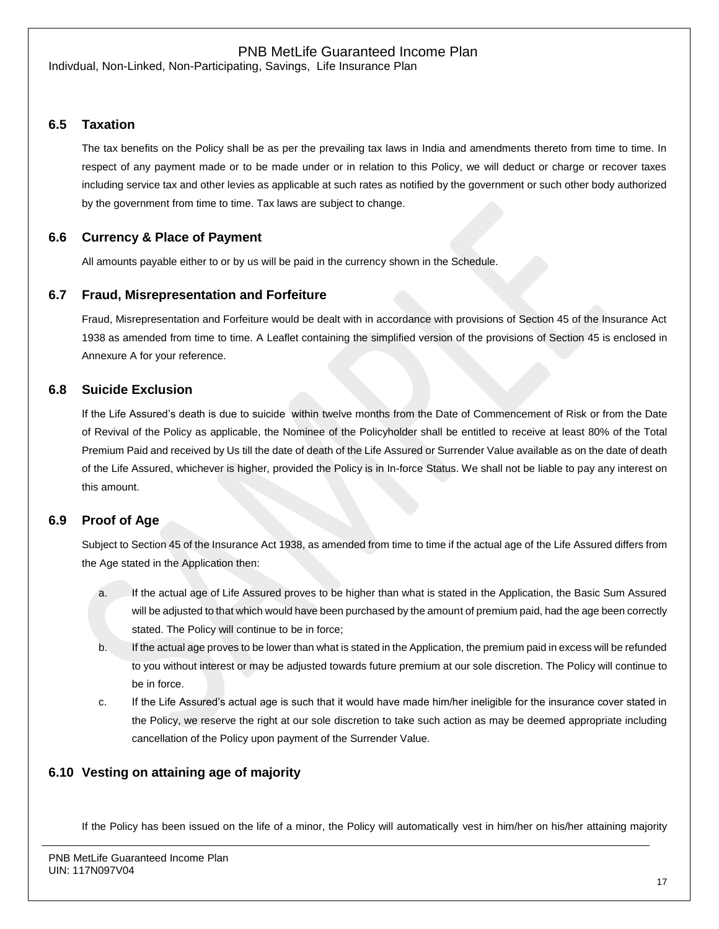Indivdual, Non-Linked, Non-Participating, Savings, Life Insurance Plan

### **6.5 Taxation**

The tax benefits on the Policy shall be as per the prevailing tax laws in India and amendments thereto from time to time. In respect of any payment made or to be made under or in relation to this Policy, we will deduct or charge or recover taxes including service tax and other levies as applicable at such rates as notified by the government or such other body authorized by the government from time to time. Tax laws are subject to change.

### **6.6 Currency & Place of Payment**

All amounts payable either to or by us will be paid in the currency shown in the Schedule.

#### **6.7 Fraud, Misrepresentation and Forfeiture**

Fraud, Misrepresentation and Forfeiture would be dealt with in accordance with provisions of Section 45 of the Insurance Act 1938 as amended from time to time. A Leaflet containing the simplified version of the provisions of Section 45 is enclosed in Annexure A for your reference.

### **6.8 Suicide Exclusion**

If the Life Assured's death is due to suicide within twelve months from the Date of Commencement of Risk or from the Date of Revival of the Policy as applicable, the Nominee of the Policyholder shall be entitled to receive at least 80% of the Total Premium Paid and received by Us till the date of death of the Life Assured or Surrender Value available as on the date of death of the Life Assured, whichever is higher, provided the Policy is in In-force Status. We shall not be liable to pay any interest on this amount.

#### **6.9 Proof of Age**

Subject to Section 45 of the Insurance Act 1938, as amended from time to time if the actual age of the Life Assured differs from the Age stated in the Application then:

- a. If the actual age of Life Assured proves to be higher than what is stated in the Application, the Basic Sum Assured will be adjusted to that which would have been purchased by the amount of premium paid, had the age been correctly stated. The Policy will continue to be in force;
- b. If the actual age proves to be lower than what is stated in the Application, the premium paid in excess will be refunded to you without interest or may be adjusted towards future premium at our sole discretion. The Policy will continue to be in force.
- c. If the Life Assured's actual age is such that it would have made him/her ineligible for the insurance cover stated in the Policy, we reserve the right at our sole discretion to take such action as may be deemed appropriate including cancellation of the Policy upon payment of the Surrender Value.

### **6.10 Vesting on attaining age of majority**

If the Policy has been issued on the life of a minor, the Policy will automatically vest in him/her on his/her attaining majority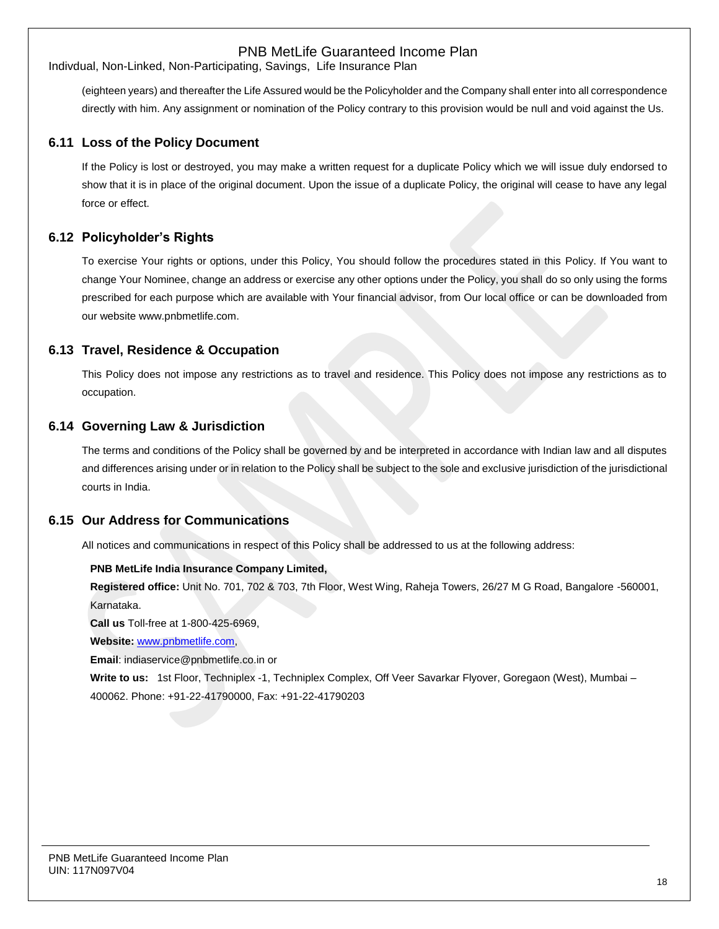Indivdual, Non-Linked, Non-Participating, Savings, Life Insurance Plan

(eighteen years) and thereafter the Life Assured would be the Policyholder and the Company shall enter into all correspondence directly with him. Any assignment or nomination of the Policy contrary to this provision would be null and void against the Us.

### **6.11 Loss of the Policy Document**

If the Policy is lost or destroyed, you may make a written request for a duplicate Policy which we will issue duly endorsed to show that it is in place of the original document. Upon the issue of a duplicate Policy, the original will cease to have any legal force or effect.

### **6.12 Policyholder's Rights**

To exercise Your rights or options, under this Policy, You should follow the procedures stated in this Policy. If You want to change Your Nominee, change an address or exercise any other options under the Policy, you shall do so only using the forms prescribed for each purpose which are available with Your financial advisor, from Our local office or can be downloaded from our website [www.pnbmetlife.com.](http://www.pnbmetlife.com/) 

#### **6.13 Travel, Residence & Occupation**

This Policy does not impose any restrictions as to travel and residence. This Policy does not impose any restrictions as to occupation.

### **6.14 Governing Law & Jurisdiction**

The terms and conditions of the Policy shall be governed by and be interpreted in accordance with Indian law and all disputes and differences arising under or in relation to the Policy shall be subject to the sole and exclusive jurisdiction of the jurisdictional courts in India.

#### **6.15 Our Address for Communications**

All notices and communications in respect of this Policy shall be addressed to us at the following address:

#### **PNB MetLife India Insurance Company Limited,**

**Registered office:** Unit No. 701, 702 & 703, 7th Floor, West Wing, Raheja Towers, 26/27 M G Road, Bangalore -560001, Karnataka.

**Call us** Toll-free at 1-800-425-6969,

**Website:** [www.pnbmetlife.com,](http://www.pnbmetlife.com/)

**Email**: indiaservice@pnbmetlife.co.in or

**Write to us:**1st Floor, Techniplex -1, Techniplex Complex, Off Veer Savarkar Flyover, Goregaon (West), Mumbai – 400062. Phone: +91-22-41790000, Fax: +91-22-41790203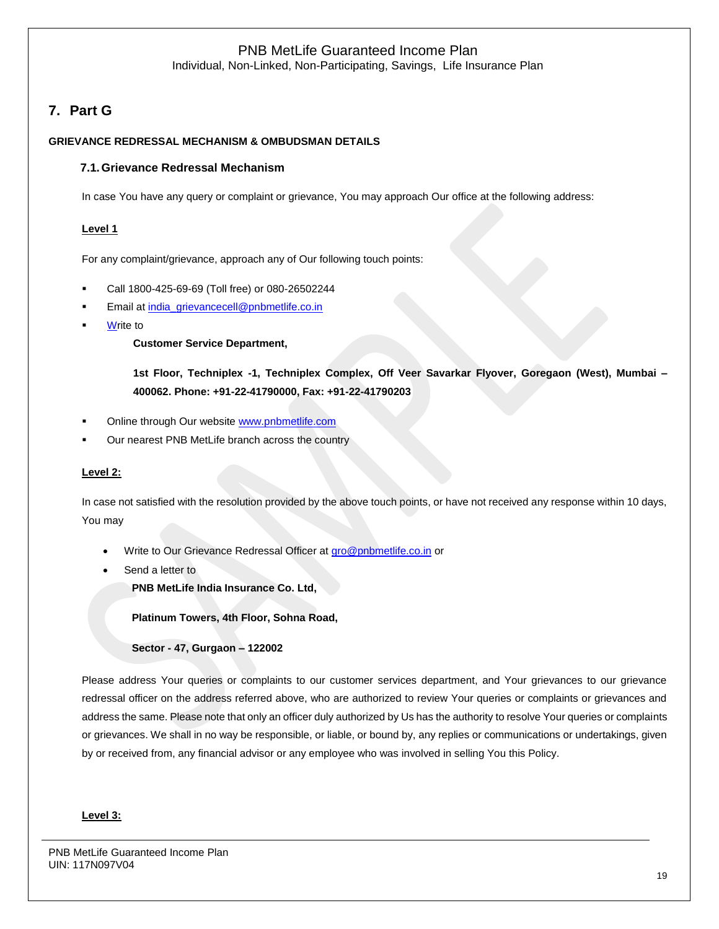Individual, Non-Linked, Non-Participating, Savings, Life Insurance Plan

# **7. Part G**

#### **GRIEVANCE REDRESSAL MECHANISM & OMBUDSMAN DETAILS**

#### **7.1.Grievance Redressal Mechanism**

In case You have any query or complaint or grievance, You may approach Our office at the following address:

#### **Level 1**

For any complaint/grievance, approach any of Our following touch points:

- Call 1800-425-69-69 (Toll free) or 080-26502244
- Email at [india\\_grievancecell@pnbmetlife.co.in](mailto:india_grievancecell@pnbmetlife.co.in)
- **Write to**

**Customer Service Department,** 

**1st Floor, Techniplex -1, Techniplex Complex, Off Veer Savarkar Flyover, Goregaon (West), Mumbai – 400062. Phone: +91-22-41790000, Fax: +91-22-41790203**

- Online through Our website [www.pnbmetlife.com](http://www.pnbmetlife.com/)
- Our nearest PNB MetLife branch across the country

#### **Level 2:**

In case not satisfied with the resolution provided by the above touch points, or have not received any response within 10 days, You may

- Write to Our Grievance Redressal Officer at [gro@pnbmetlife.co.in](mailto:gro@pnbmetlife.co.in) or
- Send a letter to

**PNB MetLife India Insurance Co. Ltd,**

**Platinum Towers, 4th Floor, Sohna Road,** 

**Sector - 47, Gurgaon – 122002**

Please address Your queries or complaints to our customer services department, and Your grievances to our grievance redressal officer on the address referred above, who are authorized to review Your queries or complaints or grievances and address the same. Please note that only an officer duly authorized by Us has the authority to resolve Your queries or complaints or grievances. We shall in no way be responsible, or liable, or bound by, any replies or communications or undertakings, given by or received from, any financial advisor or any employee who was involved in selling You this Policy.

#### **Level 3:**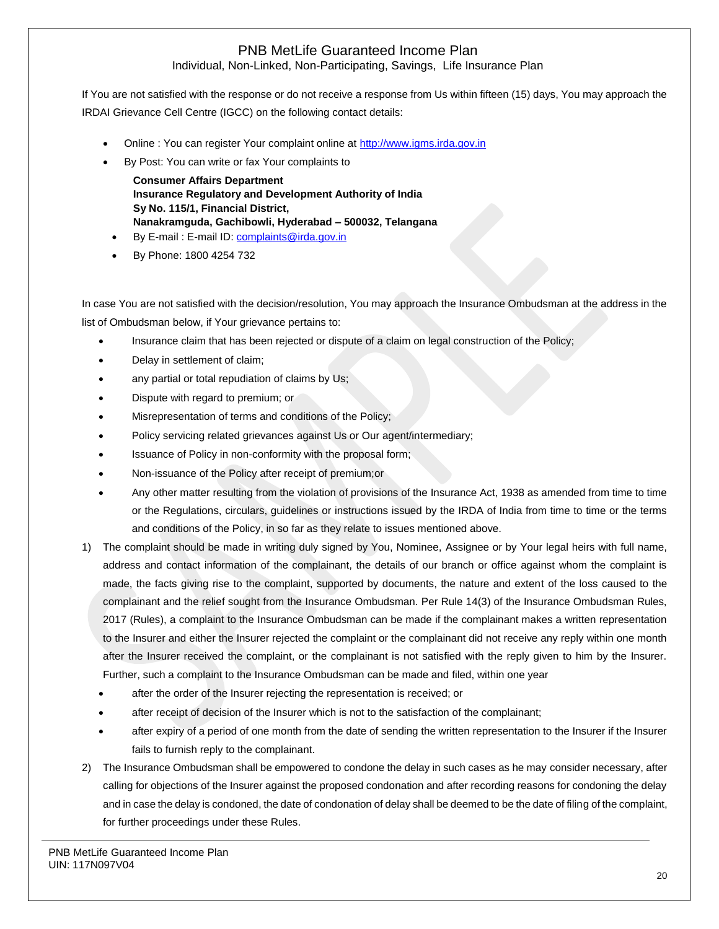Individual, Non-Linked, Non-Participating, Savings, Life Insurance Plan

If You are not satisfied with the response or do not receive a response from Us within fifteen (15) days, You may approach the IRDAI Grievance Cell Centre (IGCC) on the following contact details:

- Online : You can register Your complaint online at [http://www.igms.irda.gov.in](http://www.igms.irda.gov.in/)
- By Post: You can write or fax Your complaints to
	- **Consumer Affairs Department Insurance Regulatory and Development Authority of India Sy No. 115/1, Financial District, Nanakramguda, Gachibowli, Hyderabad – 500032, Telangana**
- By E-mail : E-mail ID[: complaints@irda.gov.in](mailto:complaints@irda.gov.in)
- By Phone: 1800 4254 732

In case You are not satisfied with the decision/resolution, You may approach the Insurance Ombudsman at the address in the list of Ombudsman below, if Your grievance pertains to:

- Insurance claim that has been rejected or dispute of a claim on legal construction of the Policy;
- Delay in settlement of claim;
- any partial or total repudiation of claims by Us;
- Dispute with regard to premium; or
- Misrepresentation of terms and conditions of the Policy;
- Policy servicing related grievances against Us or Our agent/intermediary;
- Issuance of Policy in non-conformity with the proposal form;
- Non-issuance of the Policy after receipt of premium;or
- Any other matter resulting from the violation of provisions of the Insurance Act, 1938 as amended from time to time or the Regulations, circulars, guidelines or instructions issued by the IRDA of India from time to time or the terms and conditions of the Policy, in so far as they relate to issues mentioned above.
- 1) The complaint should be made in writing duly signed by You, Nominee, Assignee or by Your legal heirs with full name, address and contact information of the complainant, the details of our branch or office against whom the complaint is made, the facts giving rise to the complaint, supported by documents, the nature and extent of the loss caused to the complainant and the relief sought from the Insurance Ombudsman. Per Rule 14(3) of the Insurance Ombudsman Rules, 2017 (Rules), a complaint to the Insurance Ombudsman can be made if the complainant makes a written representation to the Insurer and either the Insurer rejected the complaint or the complainant did not receive any reply within one month after the Insurer received the complaint, or the complainant is not satisfied with the reply given to him by the Insurer. Further, such a complaint to the Insurance Ombudsman can be made and filed, within one year
	- after the order of the Insurer rejecting the representation is received; or
	- after receipt of decision of the Insurer which is not to the satisfaction of the complainant;
	- after expiry of a period of one month from the date of sending the written representation to the Insurer if the Insurer fails to furnish reply to the complainant.
- 2) The Insurance Ombudsman shall be empowered to condone the delay in such cases as he may consider necessary, after calling for objections of the Insurer against the proposed condonation and after recording reasons for condoning the delay and in case the delay is condoned, the date of condonation of delay shall be deemed to be the date of filing of the complaint, for further proceedings under these Rules.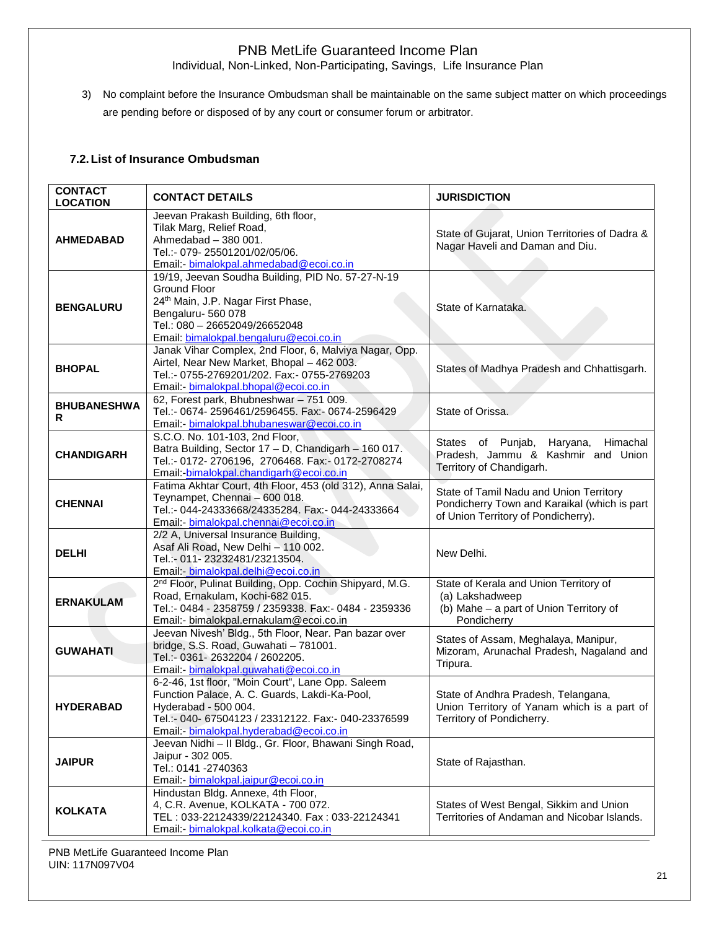Individual, Non-Linked, Non-Participating, Savings, Life Insurance Plan

3) No complaint before the Insurance Ombudsman shall be maintainable on the same subject matter on which proceedings are pending before or disposed of by any court or consumer forum or arbitrator.

### **7.2.List of Insurance Ombudsman**

| <b>CONTACT</b><br><b>LOCATION</b> | <b>CONTACT DETAILS</b>                                                                                                                                                                                                       | <b>JURISDICTION</b>                                                                                                            |
|-----------------------------------|------------------------------------------------------------------------------------------------------------------------------------------------------------------------------------------------------------------------------|--------------------------------------------------------------------------------------------------------------------------------|
| <b>AHMEDABAD</b>                  | Jeevan Prakash Building, 6th floor,<br>Tilak Marg, Relief Road,<br>Ahmedabad - 380 001.<br>Tel.:- 079-25501201/02/05/06.<br>Email:- bimalokpal.ahmedabad@ecoi.co.in                                                          | State of Gujarat, Union Territories of Dadra &<br>Nagar Haveli and Daman and Diu.                                              |
| <b>BENGALURU</b>                  | 19/19, Jeevan Soudha Building, PID No. 57-27-N-19<br>Ground Floor<br>24th Main, J.P. Nagar First Phase,<br>Bengaluru-560 078<br>Tel.: 080 - 26652049/26652048<br>Email: bimalokpal.bengaluru@ecoi.co.in                      | State of Karnataka.                                                                                                            |
| <b>BHOPAL</b>                     | Janak Vihar Complex, 2nd Floor, 6, Malviya Nagar, Opp.<br>Airtel, Near New Market, Bhopal - 462 003.<br>Tel.:- 0755-2769201/202. Fax:- 0755-2769203<br>Email: - bimalokpal.bhopal@ecoi.co.in                                 | States of Madhya Pradesh and Chhattisgarh.                                                                                     |
| <b>BHUBANESHWA</b><br>R           | 62, Forest park, Bhubneshwar - 751 009.<br>Tel.:- 0674-2596461/2596455. Fax:- 0674-2596429<br>Email: bimalokpal.bhubaneswar@ecoi.co.in                                                                                       | State of Orissa.                                                                                                               |
| <b>CHANDIGARH</b>                 | S.C.O. No. 101-103, 2nd Floor,<br>Batra Building, Sector 17 - D, Chandigarh - 160 017.<br>Tel.:- 0172-2706196, 2706468. Fax:- 0172-2708274<br>Email:-bimalokpal.chandigarh@ecoi.co.in                                        | Himachal<br>States of Punjab,<br>Haryana,<br>Pradesh, Jammu & Kashmir and Union<br>Territory of Chandigarh.                    |
| <b>CHENNAI</b>                    | Fatima Akhtar Court, 4th Floor, 453 (old 312), Anna Salai,<br>Teynampet, Chennai - 600 018.<br>Tel.:- 044-24333668/24335284. Fax:- 044-24333664<br>Email: bimalokpal.chennai@ecoi.co.in                                      | State of Tamil Nadu and Union Territory<br>Pondicherry Town and Karaikal (which is part<br>of Union Territory of Pondicherry). |
| <b>DELHI</b>                      | 2/2 A, Universal Insurance Building,<br>Asaf Ali Road, New Delhi - 110 002.<br>Tel.:- 011-23232481/23213504.<br>Email: bimalokpal.delhi@ecoi.co.in                                                                           | New Delhi.                                                                                                                     |
| <b>ERNAKULAM</b>                  | 2 <sup>nd</sup> Floor, Pulinat Building, Opp. Cochin Shipyard, M.G.<br>Road, Ernakulam, Kochi-682 015.<br>Tel.:- 0484 - 2358759 / 2359338. Fax:- 0484 - 2359336<br>Email:- bimalokpal.ernakulam@ecoi.co.in                   | State of Kerala and Union Territory of<br>(a) Lakshadweep<br>(b) Mahe - a part of Union Territory of<br>Pondicherry            |
| <b>GUWAHATI</b>                   | Jeevan Nivesh' Bldg., 5th Floor, Near. Pan bazar over<br>bridge, S.S. Road, Guwahati - 781001.<br>Tel.:- 0361-2632204 / 2602205.<br>Email:- bimalokpal.guwahati@ecoi.co.in                                                   | States of Assam, Meghalaya, Manipur,<br>Mizoram, Arunachal Pradesh, Nagaland and<br>Tripura.                                   |
| <b>HYDERABAD</b>                  | 6-2-46, 1st floor, "Moin Court", Lane Opp. Saleem<br>Function Palace, A. C. Guards, Lakdi-Ka-Pool,<br>Hyderabad - 500 004.<br>Tel.:- 040- 67504123 / 23312122. Fax:- 040-23376599<br>Email:- bimalokpal.hyderabad@ecoi.co.in | State of Andhra Pradesh, Telangana,<br>Union Territory of Yanam which is a part of<br>Territory of Pondicherry.                |
| <b>JAIPUR</b>                     | Jeevan Nidhi - Il Bldg., Gr. Floor, Bhawani Singh Road,<br>Jaipur - 302 005.<br>Tel.: 0141 -2740363<br>Email: - bimalokpal.jaipur@ecoi.co.in                                                                                 | State of Rajasthan.                                                                                                            |
| <b>KOLKATA</b>                    | Hindustan Bldg. Annexe, 4th Floor,<br>4, C.R. Avenue, KOLKATA - 700 072.<br>TEL: 033-22124339/22124340. Fax: 033-22124341<br>Email:- bimalokpal.kolkata@ecoi.co.in                                                           | States of West Bengal, Sikkim and Union<br>Territories of Andaman and Nicobar Islands.                                         |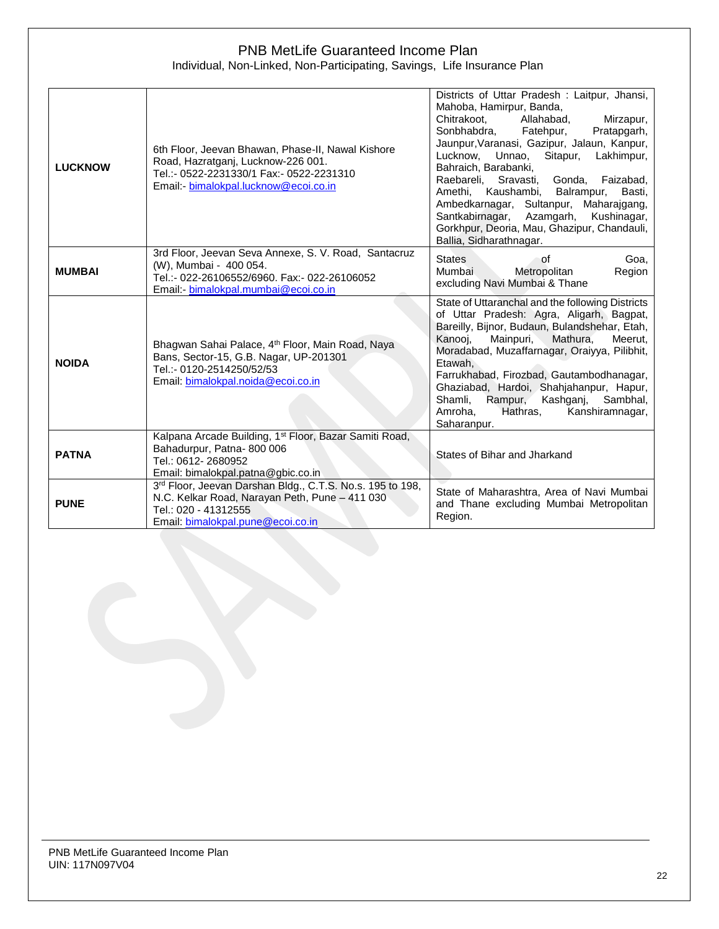### PNB MetLife Guaranteed Income Plan Individual, Non-Linked, Non-Participating, Savings, Life Insurance Plan

| <b>LUCKNOW</b> | 6th Floor, Jeevan Bhawan, Phase-II, Nawal Kishore<br>Road, Hazratganj, Lucknow-226 001.<br>Tel.:- 0522-2231330/1 Fax:- 0522-2231310<br>Email: bimalokpal.lucknow@ecoi.co.in | Districts of Uttar Pradesh: Laitpur, Jhansi,<br>Mahoba, Hamirpur, Banda,<br>Chitrakoot.<br>Allahabad,<br>Mirzapur,<br>Sonbhabdra, Fatehpur,<br>Pratapgarh,<br>Jaunpur, Varanasi, Gazipur, Jalaun, Kanpur,<br>Lucknow, Unnao, Sitapur, Lakhimpur,<br>Bahraich, Barabanki,<br>Raebareli, Sravasti,<br>Gonda, Faizabad,<br>Amethi, Kaushambi, Balrampur,<br>Basti,<br>Ambedkarnagar, Sultanpur, Maharajgang,<br>Santkabirnagar, Azamgarh,<br>Kushinagar,<br>Gorkhpur, Deoria, Mau, Ghazipur, Chandauli,<br>Ballia, Sidharathnagar. |
|----------------|-----------------------------------------------------------------------------------------------------------------------------------------------------------------------------|---------------------------------------------------------------------------------------------------------------------------------------------------------------------------------------------------------------------------------------------------------------------------------------------------------------------------------------------------------------------------------------------------------------------------------------------------------------------------------------------------------------------------------|
| <b>MUMBAI</b>  | 3rd Floor, Jeevan Seva Annexe, S. V. Road, Santacruz<br>(W), Mumbai - 400 054.<br>Tel.:- 022-26106552/6960. Fax:- 022-26106052<br>Email: - bimalokpal.mumbai@ecoi.co.in     | <b>States</b><br>οf<br>Goa.<br>Mumbai<br>Metropolitan<br>Region<br>excluding Navi Mumbai & Thane                                                                                                                                                                                                                                                                                                                                                                                                                                |
| <b>NOIDA</b>   | Bhagwan Sahai Palace, 4 <sup>th</sup> Floor, Main Road, Naya<br>Bans, Sector-15, G.B. Nagar, UP-201301<br>Tel.:- 0120-2514250/52/53<br>Email: bimalokpal.noida@ecoi.co.in   | State of Uttaranchal and the following Districts<br>of Uttar Pradesh: Agra, Aligarh, Bagpat,<br>Bareilly, Bijnor, Budaun, Bulandshehar, Etah,<br>Mainpuri,<br>Mathura,<br>Kanooj,<br>Meerut,<br>Moradabad, Muzaffarnagar, Oraiyya, Pilibhit,<br>Etawah.<br>Farrukhabad, Firozbad, Gautambodhanagar,<br>Ghaziabad, Hardoi, Shahjahanpur, Hapur,<br>Shamli,<br>Rampur,<br>Kashganj, Sambhal,<br>Hathras,<br>Kanshiramnagar,<br>Amroha.<br>Saharanpur.                                                                             |
| <b>PATNA</b>   | Kalpana Arcade Building, 1 <sup>st</sup> Floor, Bazar Samiti Road,<br>Bahadurpur, Patna-800 006<br>Tel.: 0612-2680952<br>Email: bimalokpal.patna@gbic.co.in                 | States of Bihar and Jharkand                                                                                                                                                                                                                                                                                                                                                                                                                                                                                                    |
| <b>PUNE</b>    | 3rd Floor, Jeevan Darshan Bldg., C.T.S. No.s. 195 to 198,<br>N.C. Kelkar Road, Narayan Peth, Pune - 411 030<br>Tel.: 020 - 41312555<br>Email: bimalokpal.pune@ecoi.co.in    | State of Maharashtra, Area of Navi Mumbai<br>and Thane excluding Mumbai Metropolitan<br>Region.                                                                                                                                                                                                                                                                                                                                                                                                                                 |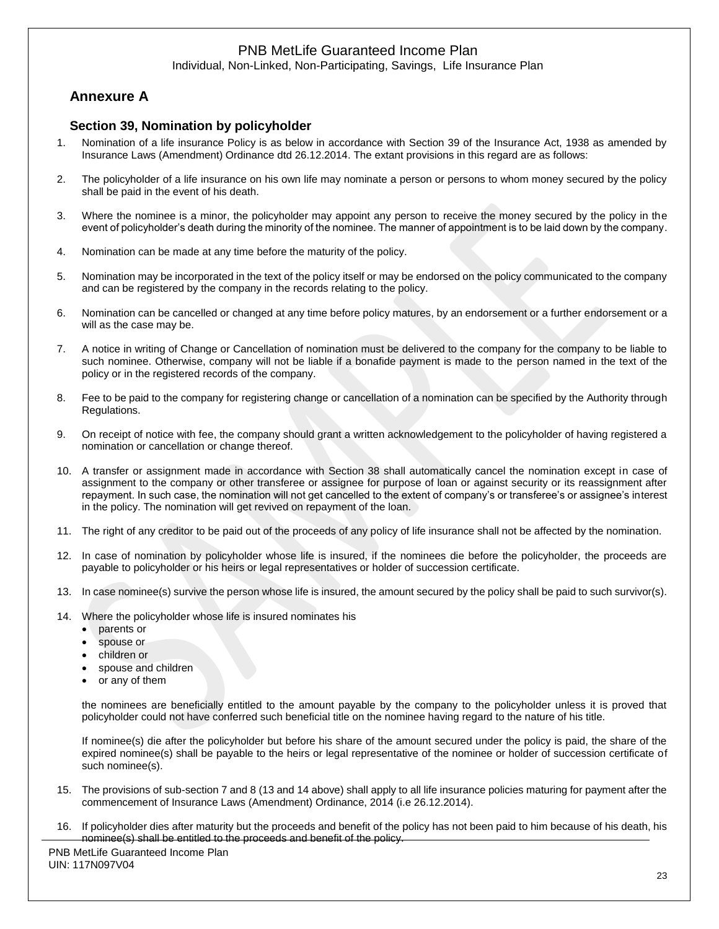Individual, Non-Linked, Non-Participating, Savings, Life Insurance Plan

# **Annexure A**

### **Section 39, Nomination by policyholder**

- 1. Nomination of a life insurance Policy is as below in accordance with Section 39 of the Insurance Act, 1938 as amended by Insurance Laws (Amendment) Ordinance dtd 26.12.2014. The extant provisions in this regard are as follows:
- 2. The policyholder of a life insurance on his own life may nominate a person or persons to whom money secured by the policy shall be paid in the event of his death.
- 3. Where the nominee is a minor, the policyholder may appoint any person to receive the money secured by the policy in the event of policyholder's death during the minority of the nominee. The manner of appointment is to be laid down by the company.
- 4. Nomination can be made at any time before the maturity of the policy.
- 5. Nomination may be incorporated in the text of the policy itself or may be endorsed on the policy communicated to the company and can be registered by the company in the records relating to the policy.
- 6. Nomination can be cancelled or changed at any time before policy matures, by an endorsement or a further endorsement or a will as the case may be.
- 7. A notice in writing of Change or Cancellation of nomination must be delivered to the company for the company to be liable to such nominee. Otherwise, company will not be liable if a bonafide payment is made to the person named in the text of the policy or in the registered records of the company.
- 8. Fee to be paid to the company for registering change or cancellation of a nomination can be specified by the Authority through Regulations.
- 9. On receipt of notice with fee, the company should grant a written acknowledgement to the policyholder of having registered a nomination or cancellation or change thereof.
- 10. A transfer or assignment made in accordance with Section 38 shall automatically cancel the nomination except in case of assignment to the company or other transferee or assignee for purpose of loan or against security or its reassignment after repayment. In such case, the nomination will not get cancelled to the extent of company's or transferee's or assignee's interest in the policy. The nomination will get revived on repayment of the loan.
- 11. The right of any creditor to be paid out of the proceeds of any policy of life insurance shall not be affected by the nomination.
- 12. In case of nomination by policyholder whose life is insured, if the nominees die before the policyholder, the proceeds are payable to policyholder or his heirs or legal representatives or holder of succession certificate.
- 13. In case nominee(s) survive the person whose life is insured, the amount secured by the policy shall be paid to such survivor(s).
- 14. Where the policyholder whose life is insured nominates his
	- parents or
	- spouse or
	- children or
	- spouse and children
	- or any of them

the nominees are beneficially entitled to the amount payable by the company to the policyholder unless it is proved that policyholder could not have conferred such beneficial title on the nominee having regard to the nature of his title.

If nominee(s) die after the policyholder but before his share of the amount secured under the policy is paid, the share of the expired nominee(s) shall be payable to the heirs or legal representative of the nominee or holder of succession certificate of such nominee(s).

- 15. The provisions of sub-section 7 and 8 (13 and 14 above) shall apply to all life insurance policies maturing for payment after the commencement of Insurance Laws (Amendment) Ordinance, 2014 (i.e 26.12.2014).
- 16. If policyholder dies after maturity but the proceeds and benefit of the policy has not been paid to him because of his death, his nominee(s) shall be entitled to the proceeds and benefit of the policy.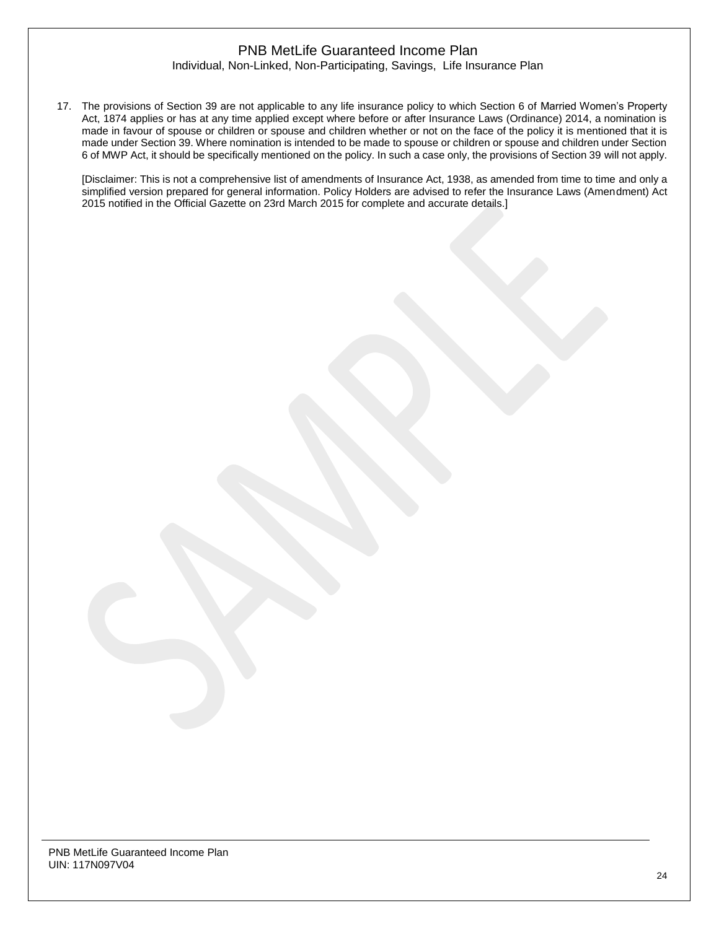#### Individual, Non-Linked, Non-Participating, Savings, Life Insurance Plan

17. The provisions of Section 39 are not applicable to any life insurance policy to which Section 6 of Married Women's Property Act, 1874 applies or has at any time applied except where before or after Insurance Laws (Ordinance) 2014, a nomination is made in favour of spouse or children or spouse and children whether or not on the face of the policy it is mentioned that it is made under Section 39. Where nomination is intended to be made to spouse or children or spouse and children under Section 6 of MWP Act, it should be specifically mentioned on the policy. In such a case only, the provisions of Section 39 will not apply.

[Disclaimer: This is not a comprehensive list of amendments of Insurance Act, 1938, as amended from time to time and only a simplified version prepared for general information. Policy Holders are advised to refer the Insurance Laws (Amendment) Act 2015 notified in the Official Gazette on 23rd March 2015 for complete and accurate details.]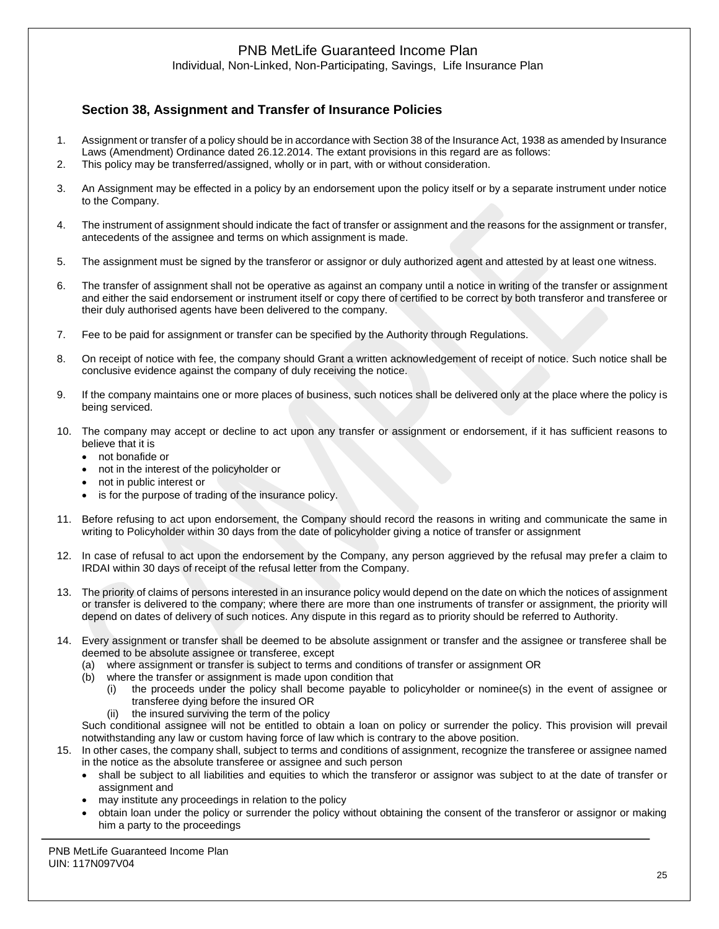Individual, Non-Linked, Non-Participating, Savings, Life Insurance Plan

# **Section 38, Assignment and Transfer of Insurance Policies**

- 1. Assignment or transfer of a policy should be in accordance with Section 38 of the Insurance Act, 1938 as amended by Insurance Laws (Amendment) Ordinance dated 26.12.2014. The extant provisions in this regard are as follows:
- 2. This policy may be transferred/assigned, wholly or in part, with or without consideration.
- 3. An Assignment may be effected in a policy by an endorsement upon the policy itself or by a separate instrument under notice to the Company.
- 4. The instrument of assignment should indicate the fact of transfer or assignment and the reasons for the assignment or transfer, antecedents of the assignee and terms on which assignment is made.
- 5. The assignment must be signed by the transferor or assignor or duly authorized agent and attested by at least one witness.
- 6. The transfer of assignment shall not be operative as against an company until a notice in writing of the transfer or assignment and either the said endorsement or instrument itself or copy there of certified to be correct by both transferor and transferee or their duly authorised agents have been delivered to the company.
- 7. Fee to be paid for assignment or transfer can be specified by the Authority through Regulations.
- 8. On receipt of notice with fee, the company should Grant a written acknowledgement of receipt of notice. Such notice shall be conclusive evidence against the company of duly receiving the notice.
- 9. If the company maintains one or more places of business, such notices shall be delivered only at the place where the policy is being serviced.
- 10. The company may accept or decline to act upon any transfer or assignment or endorsement, if it has sufficient reasons to believe that it is
	- not bonafide or
	- not in the interest of the policyholder or
	- not in public interest or
	- is for the purpose of trading of the insurance policy.
- 11. Before refusing to act upon endorsement, the Company should record the reasons in writing and communicate the same in writing to Policyholder within 30 days from the date of policyholder giving a notice of transfer or assignment
- 12. In case of refusal to act upon the endorsement by the Company, any person aggrieved by the refusal may prefer a claim to IRDAI within 30 days of receipt of the refusal letter from the Company.
- 13. The priority of claims of persons interested in an insurance policy would depend on the date on which the notices of assignment or transfer is delivered to the company; where there are more than one instruments of transfer or assignment, the priority will depend on dates of delivery of such notices. Any dispute in this regard as to priority should be referred to Authority.
- 14. Every assignment or transfer shall be deemed to be absolute assignment or transfer and the assignee or transferee shall be deemed to be absolute assignee or transferee, except
	- (a) where assignment or transfer is subject to terms and conditions of transfer or assignment OR
	- (b) where the transfer or assignment is made upon condition that
		- (i) the proceeds under the policy shall become payable to policyholder or nominee(s) in the event of assignee or transferee dying before the insured OR
		- (ii) the insured surviving the term of the policy

Such conditional assignee will not be entitled to obtain a loan on policy or surrender the policy. This provision will prevail notwithstanding any law or custom having force of law which is contrary to the above position.

- 15. In other cases, the company shall, subject to terms and conditions of assignment, recognize the transferee or assignee named in the notice as the absolute transferee or assignee and such person
	- shall be subject to all liabilities and equities to which the transferor or assignor was subject to at the date of transfer or assignment and
	- may institute any proceedings in relation to the policy
	- obtain loan under the policy or surrender the policy without obtaining the consent of the transferor or assignor or making him a party to the proceedings

PNB MetLife Guaranteed Income Plan UIN: 117N097V04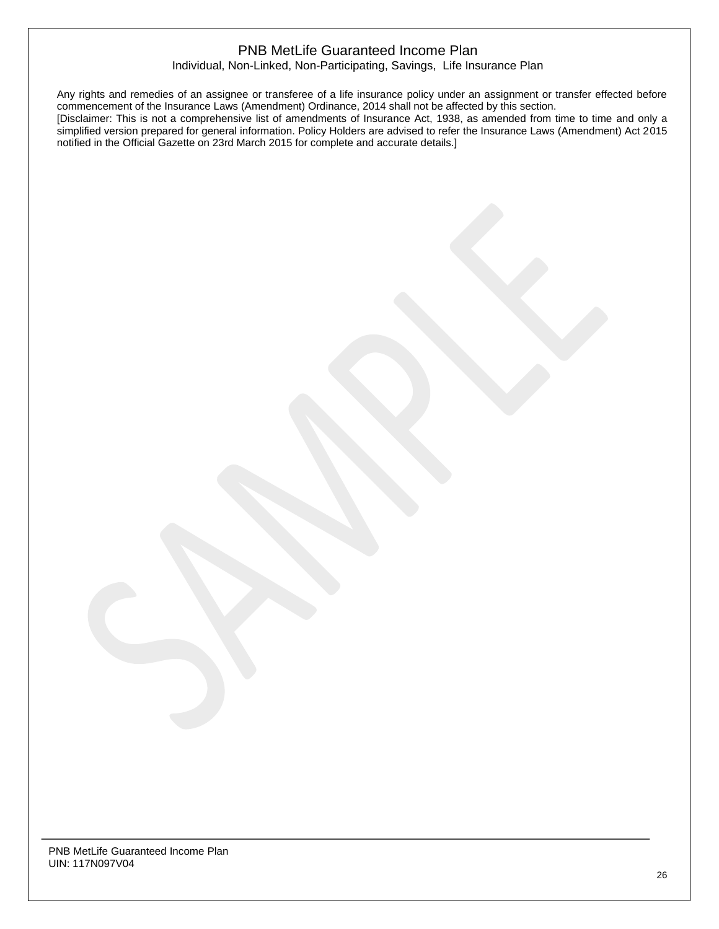Individual, Non-Linked, Non-Participating, Savings, Life Insurance Plan

Any rights and remedies of an assignee or transferee of a life insurance policy under an assignment or transfer effected before commencement of the Insurance Laws (Amendment) Ordinance, 2014 shall not be affected by this section. [Disclaimer: This is not a comprehensive list of amendments of Insurance Act, 1938, as amended from time to time and only a simplified version prepared for general information. Policy Holders are advised to refer the Insurance Laws (Amendment) Act 2015 notified in the Official Gazette on 23rd March 2015 for complete and accurate details.]